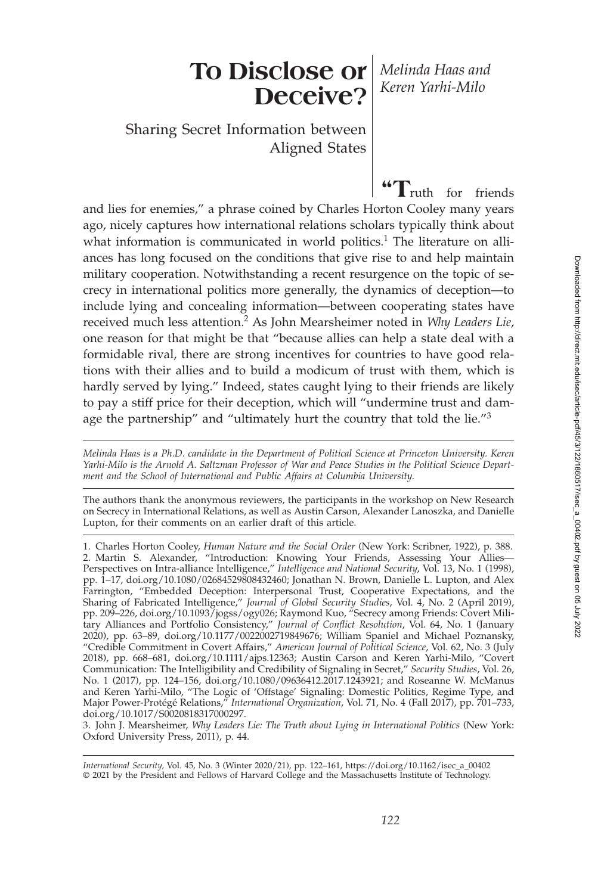# **To Disclose or** *Melinda Haas and* **Deceive?**

*Keren Yarhi-Milo*

Sharing Secret Information between Aligned States

**"T**ruth for friends and lies for enemies," a phrase coined by Charles Horton Cooley many years ago, nicely captures how international relations scholars typically think about what information is communicated in world politics.<sup>1</sup> The literature on alliances has long focused on the conditions that give rise to and help maintain military cooperation. Notwithstanding a recent resurgence on the topic of secrecy in international politics more generally, the dynamics of deception—to include lying and concealing information—between cooperating states have received much less attention.<sup>2</sup> As John Mearsheimer noted in *Why Leaders Lie*, one reason for that might be that "because allies can help a state deal with a formidable rival, there are strong incentives for countries to have good relations with their allies and to build a modicum of trust with them, which is hardly served by lying." Indeed, states caught lying to their friends are likely to pay a stiff price for their deception, which will "undermine trust and damage the partnership" and "ultimately hurt the country that told the lie."<sup>3</sup>

*Melinda Haas is a Ph.D. candidate in the Department of Political Science at Princeton University. Keren Yarhi-Milo is the Arnold A. Saltzman Professor of War and Peace Studies in the Political Science Department and the School of International and Public Affairs at Columbia University*.

The authors thank the anonymous reviewers, the participants in the workshop on New Research on Secrecy in International Relations, as well as Austin Carson, Alexander Lanoszka, and Danielle Lupton, for their comments on an earlier draft of this article.

1. Charles Horton Cooley, *Human Nature and the Social Order* (New York: Scribner, 1922), p. 388. 2. Martin S. Alexander, "Introduction: Knowing Your Friends, Assessing Your Allies— Perspectives on Intra-alliance Intelligence," *Intelligence and National Security*, Vol. 13, No. 1 (1998), pp. 1–17, doi.org/10.1080/02684529808432460; Jonathan N. Brown, Danielle L. Lupton, and Alex Farrington, "Embedded Deception: Interpersonal Trust, Cooperative Expectations, and the Sharing of Fabricated Intelligence," *Journal of Global Security Studies*, Vol. 4, No. 2 (April 2019), pp. 209–226, doi.org/10.1093/jogss/ogy026; Raymond Kuo, "Secrecy among Friends: Covert Military Alliances and Portfolio Consistency," *Journal of Conflict Resolution*, Vol. 64, No. 1 (January 2020), pp. 63–89, doi.org/10.1177/0022002719849676; William Spaniel and Michael Poznansky, "Credible Commitment in Covert Affairs," *American Journal of Political Science*, Vol. 62, No. 3 (July 2018), pp. 668–681, doi.org/10.1111/ajps.12363; Austin Carson and Keren Yarhi-Milo, "Covert Communication: The Intelligibility and Credibility of Signaling in Secret," *Security Studies*, Vol. 26, No. 1 (2017), pp. 124–156, doi.org/10.1080/09636412.2017.1243921; and Roseanne W. McManus and Keren Yarhi-Milo, "The Logic of 'Offstage' Signaling: Domestic Politics, Regime Type, and Major Power-Protégé Relations," *International Organization*, Vol. 71, No. 4 (Fall 2017), pp. 701–733, doi.org/10.1017/S0020818317000297.

3. John J. Mearsheimer, *Why Leaders Lie: The Truth about Lying in International Politics* (New York: Oxford University Press, 2011), p. 44.

*International Security,* Vol. 45, No. 3 (Winter 2020/21), pp. 122–161, https://doi.org/10.1162/isec\_a\_00402 © 2021 by the President and Fellows of Harvard College and the Massachusetts Institute of Technology.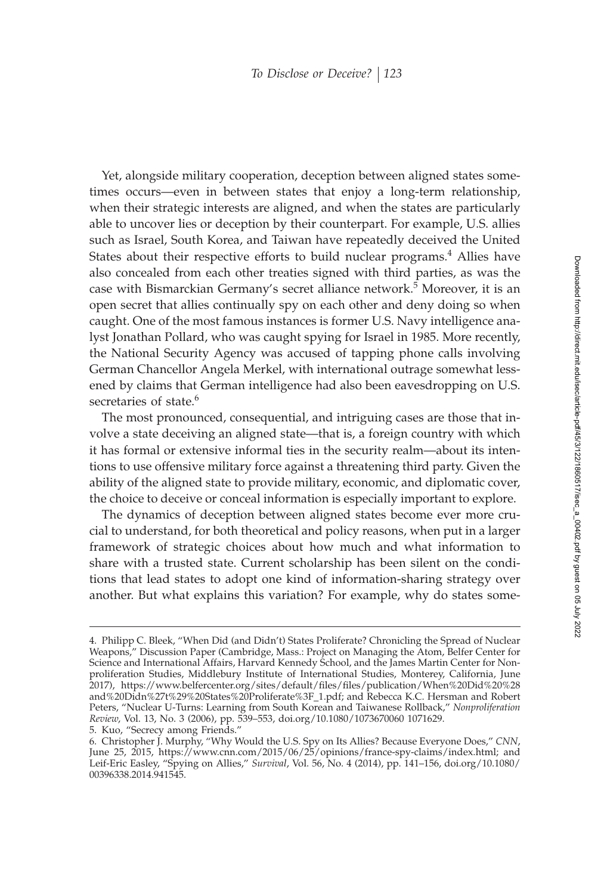Yet, alongside military cooperation, deception between aligned states sometimes occurs—even in between states that enjoy a long-term relationship, when their strategic interests are aligned, and when the states are particularly able to uncover lies or deception by their counterpart. For example, U.S. allies such as Israel, South Korea, and Taiwan have repeatedly deceived the United States about their respective efforts to build nuclear programs.<sup>4</sup> Allies have also concealed from each other treaties signed with third parties, as was the case with Bismarckian Germany's secret alliance network.<sup>5</sup> Moreover, it is an open secret that allies continually spy on each other and deny doing so when caught. One of the most famous instances is former U.S. Navy intelligence analyst Jonathan Pollard, who was caught spying for Israel in 1985. More recently, the National Security Agency was accused of tapping phone calls involving German Chancellor Angela Merkel, with international outrage somewhat lessened by claims that German intelligence had also been eavesdropping on U.S. secretaries of state.<sup>6</sup>

The most pronounced, consequential, and intriguing cases are those that involve a state deceiving an aligned state—that is, a foreign country with which it has formal or extensive informal ties in the security realm—about its intentions to use offensive military force against a threatening third party. Given the ability of the aligned state to provide military, economic, and diplomatic cover, the choice to deceive or conceal information is especially important to explore.

The dynamics of deception between aligned states become ever more crucial to understand, for both theoretical and policy reasons, when put in a larger framework of strategic choices about how much and what information to share with a trusted state. Current scholarship has been silent on the conditions that lead states to adopt one kind of information-sharing strategy over another. But what explains this variation? For example, why do states some-

5. Kuo, "Secrecy among Friends."

<sup>4.</sup> Philipp C. Bleek, "When Did (and Didn't) States Proliferate? Chronicling the Spread of Nuclear Weapons," Discussion Paper (Cambridge, Mass.: Project on Managing the Atom, Belfer Center for Science and International Affairs, Harvard Kennedy School, and the James Martin Center for Nonproliferation Studies, Middlebury Institute of International Studies, Monterey, California, June 2017), https://www.belfercenter.org/sites/default/ªles/ªles/publication/When%20Did%20%28 and%20Didn%27t%29%20States%20Proliferate%3F\_1.pdf; and Rebecca K.C. Hersman and Robert Peters, "Nuclear U-Turns: Learning from South Korean and Taiwanese Rollback," *Nonproliferation Review*, Vol. 13, No. 3 (2006), pp. 539–553, doi.org/10.1080/1073670060 1071629.

<sup>6.</sup> Christopher J. Murphy, "Why Would the U.S. Spy on Its Allies? Because Everyone Does," *CNN*, June 25, 2015, https://www.cnn.com/2015/06/25/opinions/france-spy-claims/index.html; and Leif-Eric Easley, "Spying on Allies," *Survival*, Vol. 56, No. 4 (2014), pp. 141–156, doi.org/10.1080/ 00396338.2014.941545.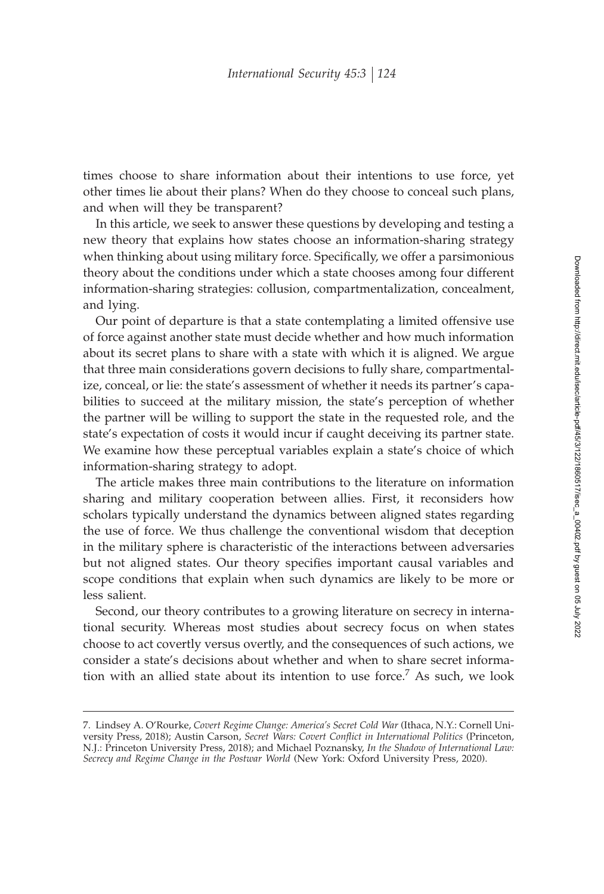times choose to share information about their intentions to use force, yet other times lie about their plans? When do they choose to conceal such plans, and when will they be transparent?

In this article, we seek to answer these questions by developing and testing a new theory that explains how states choose an information-sharing strategy when thinking about using military force. Specifically, we offer a parsimonious theory about the conditions under which a state chooses among four different information-sharing strategies: collusion, compartmentalization, concealment, and lying.

Our point of departure is that a state contemplating a limited offensive use of force against another state must decide whether and how much information about its secret plans to share with a state with which it is aligned. We argue that three main considerations govern decisions to fully share, compartmentalize, conceal, or lie: the state's assessment of whether it needs its partner's capabilities to succeed at the military mission, the state's perception of whether the partner will be willing to support the state in the requested role, and the state's expectation of costs it would incur if caught deceiving its partner state. We examine how these perceptual variables explain a state's choice of which information-sharing strategy to adopt.

The article makes three main contributions to the literature on information sharing and military cooperation between allies. First, it reconsiders how scholars typically understand the dynamics between aligned states regarding the use of force. We thus challenge the conventional wisdom that deception in the military sphere is characteristic of the interactions between adversaries but not aligned states. Our theory specifies important causal variables and scope conditions that explain when such dynamics are likely to be more or less salient.

Second, our theory contributes to a growing literature on secrecy in international security. Whereas most studies about secrecy focus on when states choose to act covertly versus overtly, and the consequences of such actions, we consider a state's decisions about whether and when to share secret information with an allied state about its intention to use force.<sup>7</sup> As such, we look

<sup>7.</sup> Lindsey A. O'Rourke, *Covert Regime Change: America's Secret Cold War* (Ithaca, N.Y.: Cornell University Press, 2018); Austin Carson, *Secret Wars: Covert Conflict in International Politics* (Princeton, N.J.: Princeton University Press, 2018); and Michael Poznansky, *In the Shadow of International Law: Secrecy and Regime Change in the Postwar World* (New York: Oxford University Press, 2020).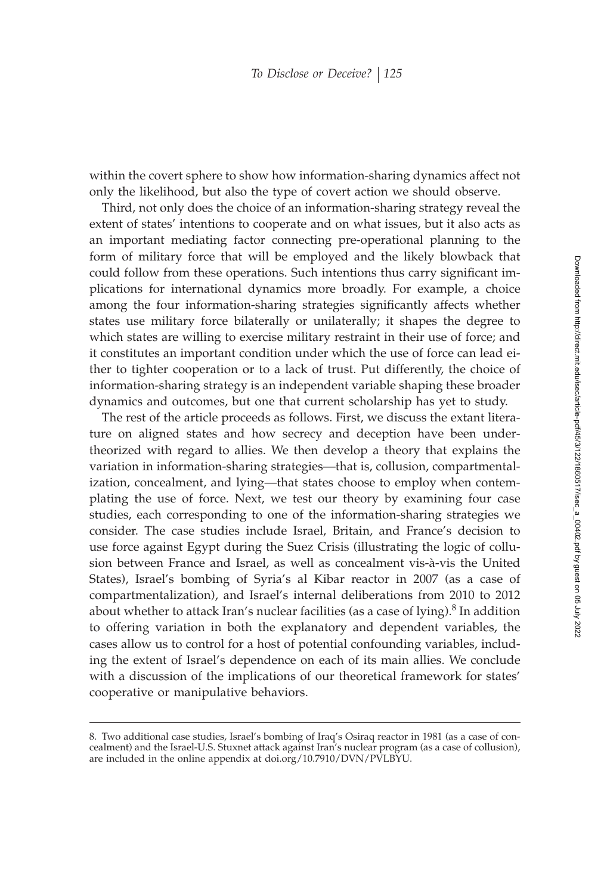within the covert sphere to show how information-sharing dynamics affect not only the likelihood, but also the type of covert action we should observe.

Third, not only does the choice of an information-sharing strategy reveal the extent of states' intentions to cooperate and on what issues, but it also acts as an important mediating factor connecting pre-operational planning to the form of military force that will be employed and the likely blowback that could follow from these operations. Such intentions thus carry significant implications for international dynamics more broadly. For example, a choice among the four information-sharing strategies significantly affects whether states use military force bilaterally or unilaterally; it shapes the degree to which states are willing to exercise military restraint in their use of force; and it constitutes an important condition under which the use of force can lead either to tighter cooperation or to a lack of trust. Put differently, the choice of information-sharing strategy is an independent variable shaping these broader dynamics and outcomes, but one that current scholarship has yet to study.

The rest of the article proceeds as follows. First, we discuss the extant literature on aligned states and how secrecy and deception have been undertheorized with regard to allies. We then develop a theory that explains the variation in information-sharing strategies—that is, collusion, compartmentalization, concealment, and lying—that states choose to employ when contemplating the use of force. Next, we test our theory by examining four case studies, each corresponding to one of the information-sharing strategies we consider. The case studies include Israel, Britain, and France's decision to use force against Egypt during the Suez Crisis (illustrating the logic of collusion between France and Israel, as well as concealment vis-à-vis the United States), Israel's bombing of Syria's al Kibar reactor in 2007 (as a case of compartmentalization), and Israel's internal deliberations from 2010 to 2012 about whether to attack Iran's nuclear facilities (as a case of lying).<sup>8</sup> In addition to offering variation in both the explanatory and dependent variables, the cases allow us to control for a host of potential confounding variables, including the extent of Israel's dependence on each of its main allies. We conclude with a discussion of the implications of our theoretical framework for states' cooperative or manipulative behaviors.

<sup>8.</sup> Two additional case studies, Israel's bombing of Iraq's Osiraq reactor in 1981 (as a case of concealment) and the Israel-U.S. Stuxnet attack against Iran's nuclear program (as a case of collusion), are included in the online appendix at doi.org/10.7910/DVN/PVLBYU.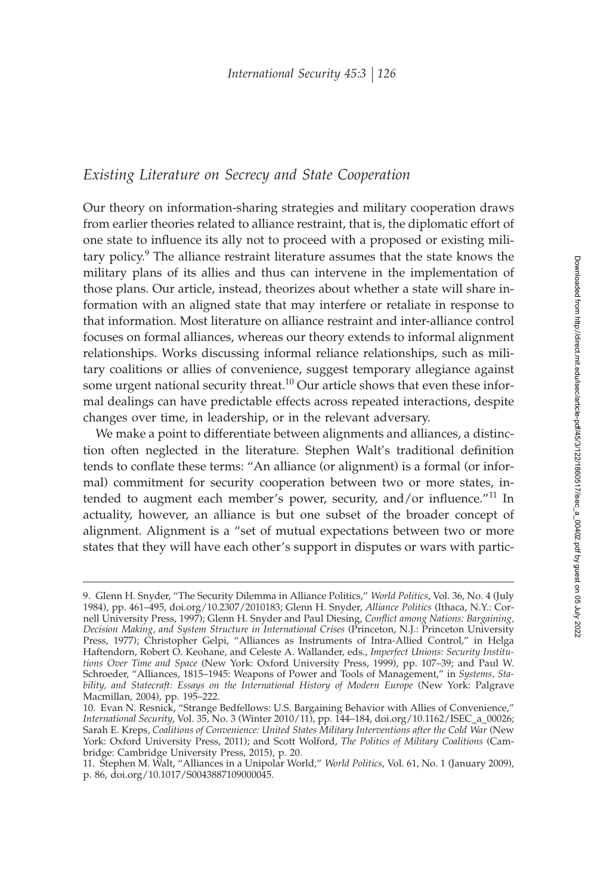# *Existing Literature on Secrecy and State Cooperation*

Our theory on information-sharing strategies and military cooperation draws from earlier theories related to alliance restraint, that is, the diplomatic effort of one state to influence its ally not to proceed with a proposed or existing military policy. $9$  The alliance restraint literature assumes that the state knows the military plans of its allies and thus can intervene in the implementation of those plans. Our article, instead, theorizes about whether a state will share information with an aligned state that may interfere or retaliate in response to that information. Most literature on alliance restraint and inter-alliance control focuses on formal alliances, whereas our theory extends to informal alignment relationships. Works discussing informal reliance relationships, such as military coalitions or allies of convenience, suggest temporary allegiance against some urgent national security threat.<sup>10</sup> Our article shows that even these informal dealings can have predictable effects across repeated interactions, despite changes over time, in leadership, or in the relevant adversary.

We make a point to differentiate between alignments and alliances, a distinction often neglected in the literature. Stephen Walt's traditional definition tends to conflate these terms: "An alliance (or alignment) is a formal (or informal) commitment for security cooperation between two or more states, intended to augment each member's power, security, and/or influence."<sup>11</sup> In actuality, however, an alliance is but one subset of the broader concept of alignment. Alignment is a "set of mutual expectations between two or more states that they will have each other's support in disputes or wars with partic-

<sup>9.</sup> Glenn H. Snyder, "The Security Dilemma in Alliance Politics," *World Politics*, Vol. 36, No. 4 (July 1984), pp. 461–495, doi.org/10.2307/2010183; Glenn H. Snyder, *Alliance Politics* (Ithaca, N.Y.: Cornell University Press, 1997); Glenn H. Snyder and Paul Diesing, Conflict among Nations: Bargaining, *Decision Making, and System Structure in International Crises* (Princeton, N.J.: Princeton University Press, 1977); Christopher Gelpi, "Alliances as Instruments of Intra-Allied Control," in Helga Haftendorn, Robert O. Keohane, and Celeste A. Wallander, eds., *Imperfect Unions: Security Institutions Over Time and Space* (New York: Oxford University Press, 1999), pp. 107–39; and Paul W. Schroeder, "Alliances, 1815–1945: Weapons of Power and Tools of Management," in *Systems, Stability, and Statecraft: Essays on the International History of Modern Europe* (New York: Palgrave Macmillan, 2004), pp. 195–222.

<sup>10.</sup> Evan N. Resnick, "Strange Bedfellows: U.S. Bargaining Behavior with Allies of Convenience," *International Security*, Vol. 35, No. 3 (Winter 2010/11), pp. 144–184, doi.org/10.1162/ISEC\_a\_00026; Sarah E. Kreps, *Coalitions of Convenience: United States Military Interventions after the Cold War* (New York: Oxford University Press, 2011); and Scott Wolford, *The Politics of Military Coalitions* (Cambridge: Cambridge University Press, 2015), p. 20.

<sup>11.</sup> Stephen M. Walt, "Alliances in a Unipolar World," *World Politics*, Vol. 61, No. 1 (January 2009), p. 86, doi.org/10.1017/S0043887109000045.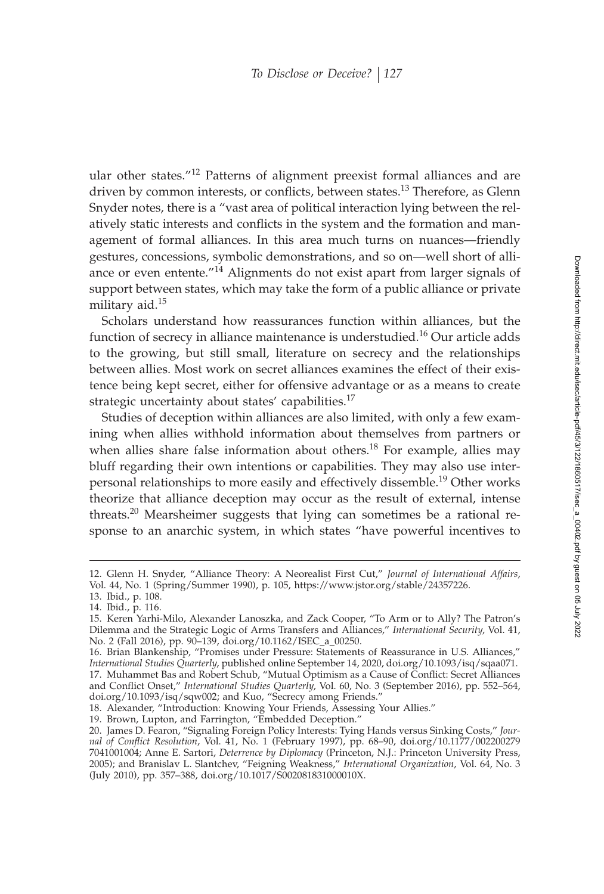ular other states."<sup>12</sup> Patterns of alignment preexist formal alliances and are driven by common interests, or conflicts, between states.<sup>13</sup> Therefore, as Glenn Snyder notes, there is a "vast area of political interaction lying between the relatively static interests and conflicts in the system and the formation and management of formal alliances. In this area much turns on nuances—friendly gestures, concessions, symbolic demonstrations, and so on—well short of alliance or even entente."<sup>14</sup> Alignments do not exist apart from larger signals of support between states, which may take the form of a public alliance or private military aid.<sup>15</sup>

Scholars understand how reassurances function within alliances, but the function of secrecy in alliance maintenance is understudied.<sup>16</sup> Our article adds to the growing, but still small, literature on secrecy and the relationships between allies. Most work on secret alliances examines the effect of their existence being kept secret, either for offensive advantage or as a means to create strategic uncertainty about states' capabilities.<sup>17</sup>

Studies of deception within alliances are also limited, with only a few examining when allies withhold information about themselves from partners or when allies share false information about others.<sup>18</sup> For example, allies may bluff regarding their own intentions or capabilities. They may also use interpersonal relationships to more easily and effectively dissemble.<sup>19</sup> Other works theorize that alliance deception may occur as the result of external, intense threats.<sup>20</sup> Mearsheimer suggests that lying can sometimes be a rational response to an anarchic system, in which states "have powerful incentives to

<sup>12.</sup> Glenn H. Snyder, "Alliance Theory: A Neorealist First Cut," *Journal of International Affairs*, Vol. 44, No. 1 (Spring/Summer 1990), p. 105, https://www.jstor.org/stable/24357226.

<sup>13.</sup> Ibid., p. 108.

<sup>14.</sup> Ibid., p. 116.

<sup>15.</sup> Keren Yarhi-Milo, Alexander Lanoszka, and Zack Cooper, "To Arm or to Ally? The Patron's Dilemma and the Strategic Logic of Arms Transfers and Alliances," *International Security*, Vol. 41, No. 2 (Fall 2016), pp. 90–139, doi.org/10.1162/ISEC\_a\_00250.

<sup>16.</sup> Brian Blankenship, "Promises under Pressure: Statements of Reassurance in U.S. Alliances," *International Studies Quarterly*, published online September 14, 2020, doi.org/10.1093/isq/sqaa071. 17. Muhammet Bas and Robert Schub, "Mutual Optimism as a Cause of Conflict: Secret Alliances and Conflict Onset," *International Studies Quarterly*, Vol. 60, No. 3 (September 2016), pp. 552–564, doi.org/10.1093/isq/sqw002; and Kuo, "Secrecy among Friends."

<sup>18.</sup> Alexander, "Introduction: Knowing Your Friends, Assessing Your Allies."

<sup>19.</sup> Brown, Lupton, and Farrington, "Embedded Deception."

<sup>20.</sup> James D. Fearon, "Signaling Foreign Policy Interests: Tying Hands versus Sinking Costs," *Journal of Conflict Resolution*, Vol. 41, No. 1 (February 1997), pp. 68–90, doi.org/10.1177/002200279 7041001004; Anne E. Sartori, *Deterrence by Diplomacy* (Princeton, N.J.: Princeton University Press, 2005); and Branislav L. Slantchev, "Feigning Weakness," *International Organization*, Vol. 64, No. 3 (July 2010), pp. 357–388, doi.org/10.1017/S002081831000010X.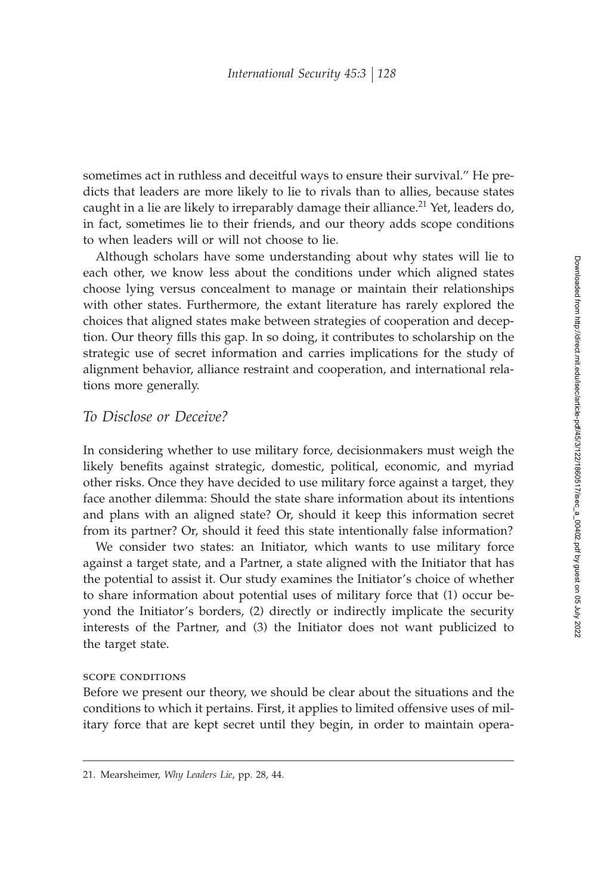sometimes act in ruthless and deceitful ways to ensure their survival." He predicts that leaders are more likely to lie to rivals than to allies, because states caught in a lie are likely to irreparably damage their alliance.<sup>21</sup> Yet, leaders do, in fact, sometimes lie to their friends, and our theory adds scope conditions to when leaders will or will not choose to lie.

Although scholars have some understanding about why states will lie to each other, we know less about the conditions under which aligned states choose lying versus concealment to manage or maintain their relationships with other states. Furthermore, the extant literature has rarely explored the choices that aligned states make between strategies of cooperation and deception. Our theory fills this gap. In so doing, it contributes to scholarship on the strategic use of secret information and carries implications for the study of alignment behavior, alliance restraint and cooperation, and international relations more generally.

# *To Disclose or Deceive?*

In considering whether to use military force, decisionmakers must weigh the likely benefits against strategic, domestic, political, economic, and myriad other risks. Once they have decided to use military force against a target, they face another dilemma: Should the state share information about its intentions and plans with an aligned state? Or, should it keep this information secret from its partner? Or, should it feed this state intentionally false information?

We consider two states: an Initiator, which wants to use military force against a target state, and a Partner, a state aligned with the Initiator that has the potential to assist it. Our study examines the Initiator's choice of whether to share information about potential uses of military force that (1) occur beyond the Initiator's borders, (2) directly or indirectly implicate the security interests of the Partner, and (3) the Initiator does not want publicized to the target state.

#### scope conditions

Before we present our theory, we should be clear about the situations and the conditions to which it pertains. First, it applies to limited offensive uses of military force that are kept secret until they begin, in order to maintain opera-

<sup>21.</sup> Mearsheimer, *Why Leaders Lie*, pp. 28, 44.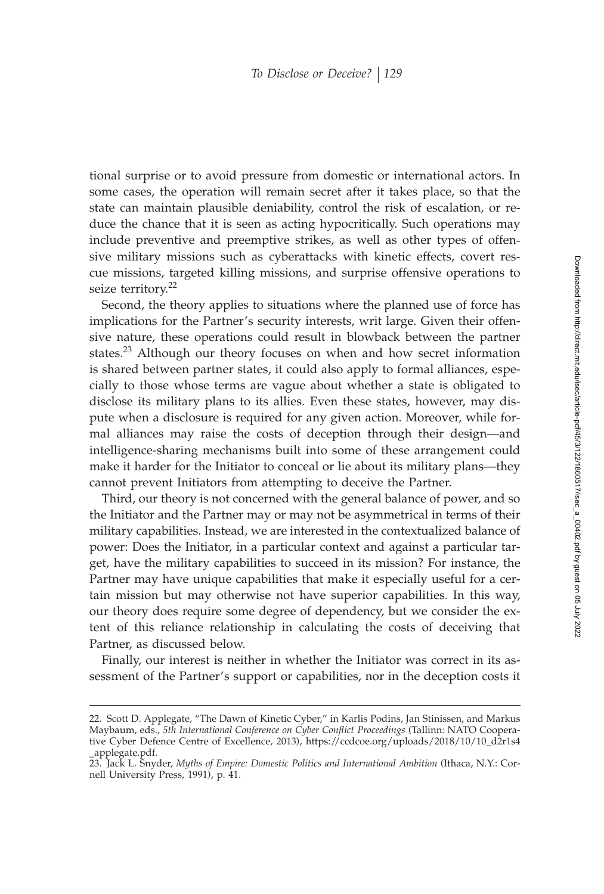tional surprise or to avoid pressure from domestic or international actors. In some cases, the operation will remain secret after it takes place, so that the state can maintain plausible deniability, control the risk of escalation, or reduce the chance that it is seen as acting hypocritically. Such operations may include preventive and preemptive strikes, as well as other types of offensive military missions such as cyberattacks with kinetic effects, covert rescue missions, targeted killing missions, and surprise offensive operations to seize territory.<sup>22</sup>

Second, the theory applies to situations where the planned use of force has implications for the Partner's security interests, writ large. Given their offensive nature, these operations could result in blowback between the partner states.<sup>23</sup> Although our theory focuses on when and how secret information is shared between partner states, it could also apply to formal alliances, especially to those whose terms are vague about whether a state is obligated to disclose its military plans to its allies. Even these states, however, may dispute when a disclosure is required for any given action. Moreover, while formal alliances may raise the costs of deception through their design—and intelligence-sharing mechanisms built into some of these arrangement could make it harder for the Initiator to conceal or lie about its military plans—they cannot prevent Initiators from attempting to deceive the Partner.

Third, our theory is not concerned with the general balance of power, and so the Initiator and the Partner may or may not be asymmetrical in terms of their military capabilities. Instead, we are interested in the contextualized balance of power: Does the Initiator, in a particular context and against a particular target, have the military capabilities to succeed in its mission? For instance, the Partner may have unique capabilities that make it especially useful for a certain mission but may otherwise not have superior capabilities. In this way, our theory does require some degree of dependency, but we consider the extent of this reliance relationship in calculating the costs of deceiving that Partner, as discussed below.

Finally, our interest is neither in whether the Initiator was correct in its assessment of the Partner's support or capabilities, nor in the deception costs it

<sup>22.</sup> Scott D. Applegate, "The Dawn of Kinetic Cyber," in Karlis Podins, Jan Stinissen, and Markus Maybaum, eds., 5th International Conference on Cyber Conflict Proceedings (Tallinn: NATO Cooperative Cyber Defence Centre of Excellence, 2013), https://ccdcoe.org/uploads/2018/10/10\_d2r1s4 \_applegate.pdf.

<sup>23.</sup> Jack L. Snyder, *Myths of Empire: Domestic Politics and International Ambition* (Ithaca, N.Y.: Cornell University Press, 1991), p. 41.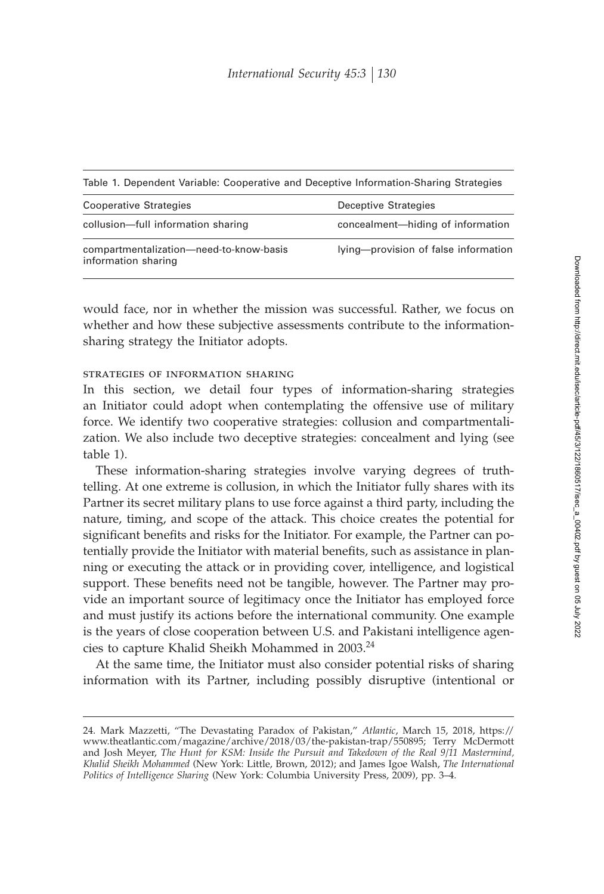| Table 1. Dependent Variable: Cooperative and Deceptive Information-Sharing Strategies |                                      |
|---------------------------------------------------------------------------------------|--------------------------------------|
| Cooperative Strategies                                                                | Deceptive Strategies                 |
| collusion-full information sharing                                                    | concealment-hiding of information    |
| compartmentalization-need-to-know-basis<br>information sharing                        | lying-provision of false information |

would face, nor in whether the mission was successful. Rather, we focus on whether and how these subjective assessments contribute to the informationsharing strategy the Initiator adopts.

## strategies of information sharing

In this section, we detail four types of information-sharing strategies an Initiator could adopt when contemplating the offensive use of military force. We identify two cooperative strategies: collusion and compartmentalization. We also include two deceptive strategies: concealment and lying (see table 1).

These information-sharing strategies involve varying degrees of truthtelling. At one extreme is collusion, in which the Initiator fully shares with its Partner its secret military plans to use force against a third party, including the nature, timing, and scope of the attack. This choice creates the potential for significant benefits and risks for the Initiator. For example, the Partner can potentially provide the Initiator with material benefits, such as assistance in planning or executing the attack or in providing cover, intelligence, and logistical support. These benefits need not be tangible, however. The Partner may provide an important source of legitimacy once the Initiator has employed force and must justify its actions before the international community. One example is the years of close cooperation between U.S. and Pakistani intelligence agencies to capture Khalid Sheikh Mohammed in 2003.<sup>24</sup>

At the same time, the Initiator must also consider potential risks of sharing information with its Partner, including possibly disruptive (intentional or

<sup>24.</sup> Mark Mazzetti, "The Devastating Paradox of Pakistan," *Atlantic*, March 15, 2018, https:// www.theatlantic.com/magazine/archive/2018/03/the-pakistan-trap/550895; Terry McDermott and Josh Meyer, *The Hunt for KSM: Inside the Pursuit and Takedown of the Real 9/11 Mastermind, Khalid Sheikh Mohammed* (New York: Little, Brown, 2012); and James Igoe Walsh, *The International Politics of Intelligence Sharing* (New York: Columbia University Press, 2009), pp. 3–4.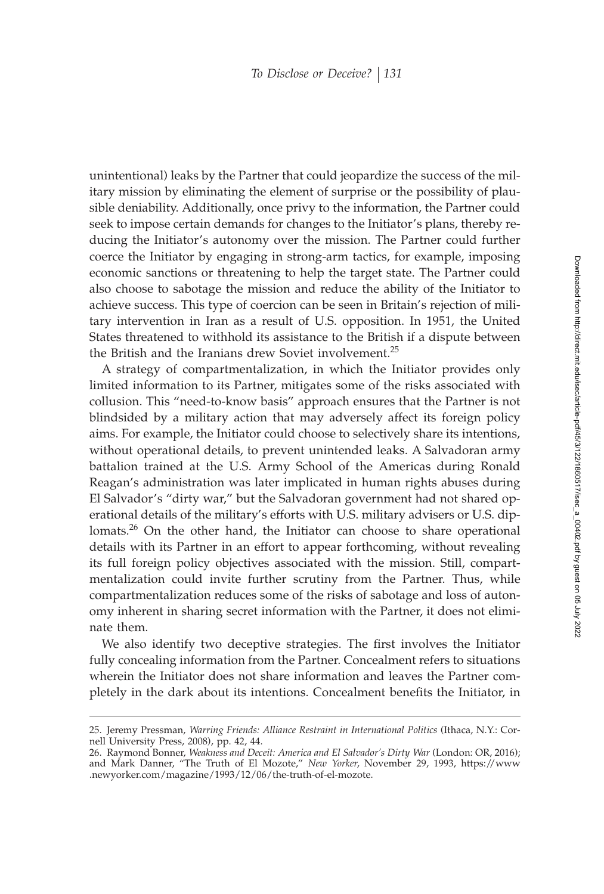unintentional) leaks by the Partner that could jeopardize the success of the military mission by eliminating the element of surprise or the possibility of plausible deniability. Additionally, once privy to the information, the Partner could seek to impose certain demands for changes to the Initiator's plans, thereby reducing the Initiator's autonomy over the mission. The Partner could further coerce the Initiator by engaging in strong-arm tactics, for example, imposing economic sanctions or threatening to help the target state. The Partner could also choose to sabotage the mission and reduce the ability of the Initiator to achieve success. This type of coercion can be seen in Britain's rejection of military intervention in Iran as a result of U.S. opposition. In 1951, the United States threatened to withhold its assistance to the British if a dispute between the British and the Iranians drew Soviet involvement.<sup>25</sup>

A strategy of compartmentalization, in which the Initiator provides only limited information to its Partner, mitigates some of the risks associated with collusion. This "need-to-know basis" approach ensures that the Partner is not blindsided by a military action that may adversely affect its foreign policy aims. For example, the Initiator could choose to selectively share its intentions, without operational details, to prevent unintended leaks. A Salvadoran army battalion trained at the U.S. Army School of the Americas during Ronald Reagan's administration was later implicated in human rights abuses during El Salvador's "dirty war," but the Salvadoran government had not shared operational details of the military's efforts with U.S. military advisers or U.S. diplomats.<sup>26</sup> On the other hand, the Initiator can choose to share operational details with its Partner in an effort to appear forthcoming, without revealing its full foreign policy objectives associated with the mission. Still, compartmentalization could invite further scrutiny from the Partner. Thus, while compartmentalization reduces some of the risks of sabotage and loss of autonomy inherent in sharing secret information with the Partner, it does not eliminate them.

We also identify two deceptive strategies. The first involves the Initiator fully concealing information from the Partner. Concealment refers to situations wherein the Initiator does not share information and leaves the Partner completely in the dark about its intentions. Concealment benefits the Initiator, in

<sup>25.</sup> Jeremy Pressman, *Warring Friends: Alliance Restraint in International Politics* (Ithaca, N.Y.: Cornell University Press, 2008), pp. 42, 44.

<sup>26.</sup> Raymond Bonner, *Weakness and Deceit: America and El Salvador's Dirty War* (London: OR, 2016); and Mark Danner, "The Truth of El Mozote," *New Yorker*, November 29, 1993, https://www .newyorker.com/magazine/1993/12/06/the-truth-of-el-mozote.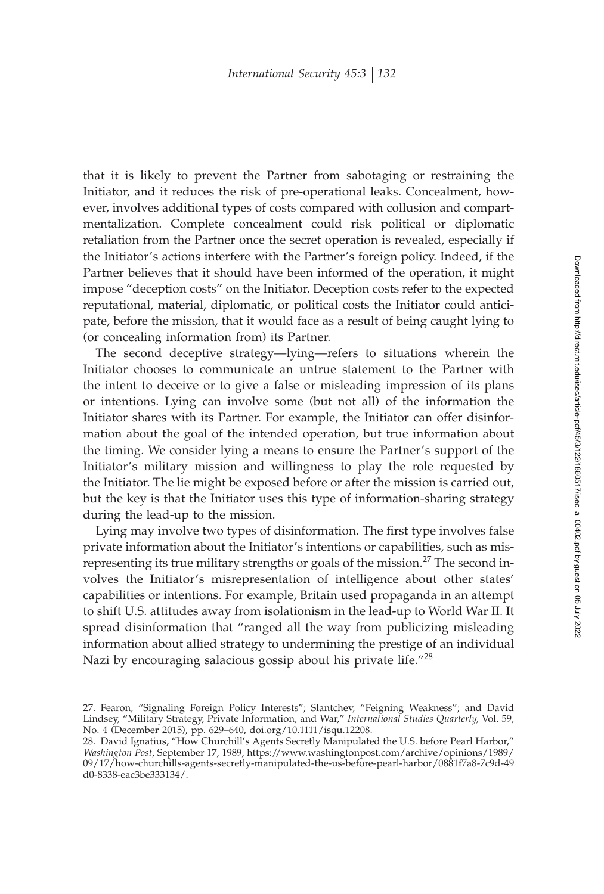that it is likely to prevent the Partner from sabotaging or restraining the Initiator, and it reduces the risk of pre-operational leaks. Concealment, however, involves additional types of costs compared with collusion and compartmentalization. Complete concealment could risk political or diplomatic retaliation from the Partner once the secret operation is revealed, especially if the Initiator's actions interfere with the Partner's foreign policy. Indeed, if the Partner believes that it should have been informed of the operation, it might impose "deception costs" on the Initiator. Deception costs refer to the expected reputational, material, diplomatic, or political costs the Initiator could anticipate, before the mission, that it would face as a result of being caught lying to (or concealing information from) its Partner.

The second deceptive strategy—lying—refers to situations wherein the Initiator chooses to communicate an untrue statement to the Partner with the intent to deceive or to give a false or misleading impression of its plans or intentions. Lying can involve some (but not all) of the information the Initiator shares with its Partner. For example, the Initiator can offer disinformation about the goal of the intended operation, but true information about the timing. We consider lying a means to ensure the Partner's support of the Initiator's military mission and willingness to play the role requested by the Initiator. The lie might be exposed before or after the mission is carried out, but the key is that the Initiator uses this type of information-sharing strategy during the lead-up to the mission.

Lying may involve two types of disinformation. The first type involves false private information about the Initiator's intentions or capabilities, such as misrepresenting its true military strengths or goals of the mission.<sup>27</sup> The second involves the Initiator's misrepresentation of intelligence about other states' capabilities or intentions. For example, Britain used propaganda in an attempt to shift U.S. attitudes away from isolationism in the lead-up to World War II. It spread disinformation that "ranged all the way from publicizing misleading information about allied strategy to undermining the prestige of an individual Nazi by encouraging salacious gossip about his private life."<sup>28</sup>

<sup>27.</sup> Fearon, "Signaling Foreign Policy Interests"; Slantchev, "Feigning Weakness"; and David Lindsey, "Military Strategy, Private Information, and War," *International Studies Quarterly*, Vol. 59, No. 4 (December 2015), pp. 629–640, doi.org/10.1111/isqu.12208.

<sup>28.</sup> David Ignatius, "How Churchill's Agents Secretly Manipulated the U.S. before Pearl Harbor," *Washington Post*, September 17, 1989, https://www.washingtonpost.com/archive/opinions/1989/ 09/17/how-churchills-agents-secretly-manipulated-the-us-before-pearl-harbor/0881f7a8-7c9d-49 d0-8338-eac3be333134/.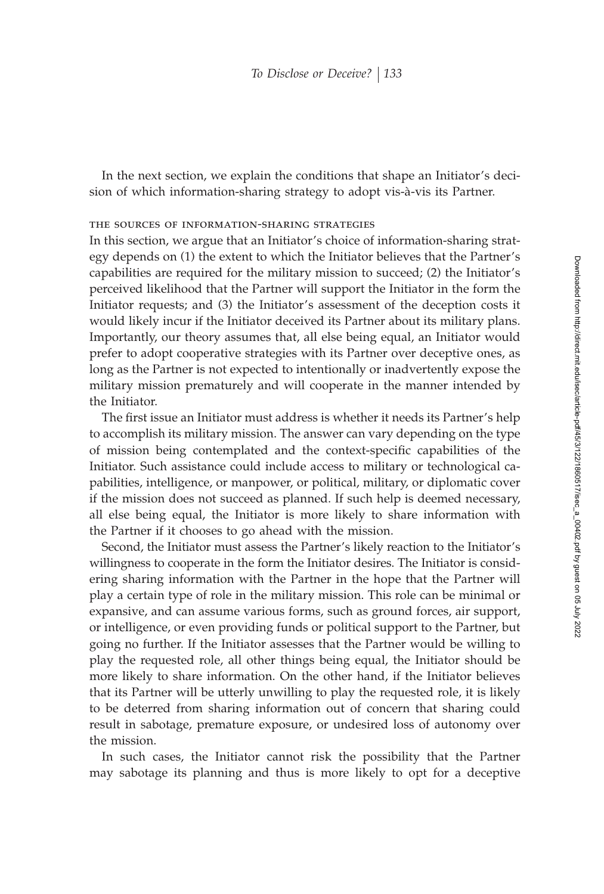In the next section, we explain the conditions that shape an Initiator's decision of which information-sharing strategy to adopt vis-à-vis its Partner.

#### the sources of information-sharing strategies

In this section, we argue that an Initiator's choice of information-sharing strategy depends on (1) the extent to which the Initiator believes that the Partner's capabilities are required for the military mission to succeed; (2) the Initiator's perceived likelihood that the Partner will support the Initiator in the form the Initiator requests; and (3) the Initiator's assessment of the deception costs it would likely incur if the Initiator deceived its Partner about its military plans. Importantly, our theory assumes that, all else being equal, an Initiator would prefer to adopt cooperative strategies with its Partner over deceptive ones, as long as the Partner is not expected to intentionally or inadvertently expose the military mission prematurely and will cooperate in the manner intended by the Initiator.

The first issue an Initiator must address is whether it needs its Partner's help to accomplish its military mission. The answer can vary depending on the type of mission being contemplated and the context-specific capabilities of the Initiator. Such assistance could include access to military or technological capabilities, intelligence, or manpower, or political, military, or diplomatic cover if the mission does not succeed as planned. If such help is deemed necessary, all else being equal, the Initiator is more likely to share information with the Partner if it chooses to go ahead with the mission.

Second, the Initiator must assess the Partner's likely reaction to the Initiator's willingness to cooperate in the form the Initiator desires. The Initiator is considering sharing information with the Partner in the hope that the Partner will play a certain type of role in the military mission. This role can be minimal or expansive, and can assume various forms, such as ground forces, air support, or intelligence, or even providing funds or political support to the Partner, but going no further. If the Initiator assesses that the Partner would be willing to play the requested role, all other things being equal, the Initiator should be more likely to share information. On the other hand, if the Initiator believes that its Partner will be utterly unwilling to play the requested role, it is likely to be deterred from sharing information out of concern that sharing could result in sabotage, premature exposure, or undesired loss of autonomy over the mission.

In such cases, the Initiator cannot risk the possibility that the Partner may sabotage its planning and thus is more likely to opt for a deceptive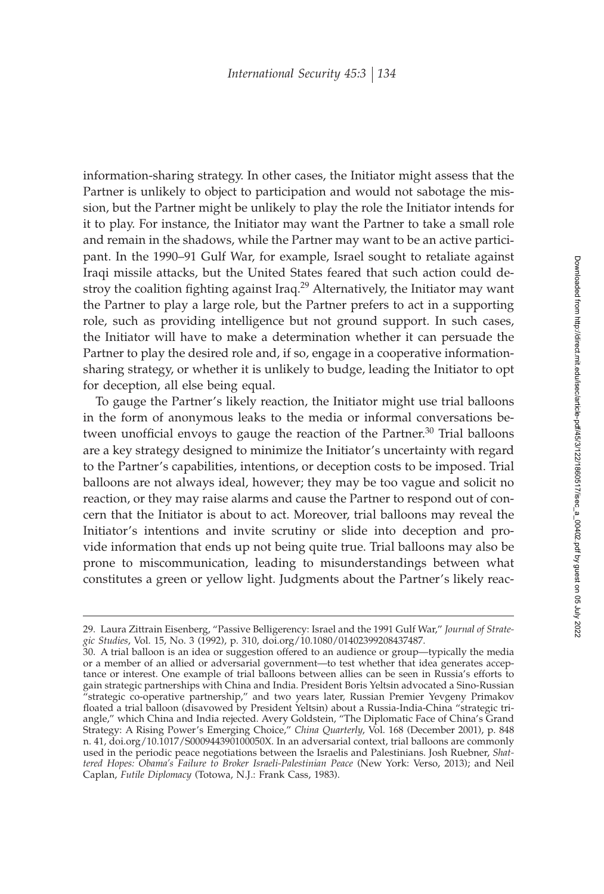information-sharing strategy. In other cases, the Initiator might assess that the Partner is unlikely to object to participation and would not sabotage the mission, but the Partner might be unlikely to play the role the Initiator intends for it to play. For instance, the Initiator may want the Partner to take a small role and remain in the shadows, while the Partner may want to be an active participant. In the 1990–91 Gulf War, for example, Israel sought to retaliate against Iraqi missile attacks, but the United States feared that such action could destroy the coalition fighting against Iraq.<sup>29</sup> Alternatively, the Initiator may want the Partner to play a large role, but the Partner prefers to act in a supporting role, such as providing intelligence but not ground support. In such cases, the Initiator will have to make a determination whether it can persuade the Partner to play the desired role and, if so, engage in a cooperative informationsharing strategy, or whether it is unlikely to budge, leading the Initiator to opt for deception, all else being equal.

To gauge the Partner's likely reaction, the Initiator might use trial balloons in the form of anonymous leaks to the media or informal conversations between unofficial envoys to gauge the reaction of the Partner.<sup>30</sup> Trial balloons are a key strategy designed to minimize the Initiator's uncertainty with regard to the Partner's capabilities, intentions, or deception costs to be imposed. Trial balloons are not always ideal, however; they may be too vague and solicit no reaction, or they may raise alarms and cause the Partner to respond out of concern that the Initiator is about to act. Moreover, trial balloons may reveal the Initiator's intentions and invite scrutiny or slide into deception and provide information that ends up not being quite true. Trial balloons may also be prone to miscommunication, leading to misunderstandings between what constitutes a green or yellow light. Judgments about the Partner's likely reac-

<sup>29.</sup> Laura Zittrain Eisenberg, "Passive Belligerency: Israel and the 1991 Gulf War," *Journal of Strategic Studies*, Vol. 15, No. 3 (1992), p. 310, doi.org/10.1080/01402399208437487.

<sup>30.</sup> A trial balloon is an idea or suggestion offered to an audience or group—typically the media or a member of an allied or adversarial government—to test whether that idea generates acceptance or interest. One example of trial balloons between allies can be seen in Russia's efforts to gain strategic partnerships with China and India. President Boris Yeltsin advocated a Sino-Russian "strategic co-operative partnership," and two years later, Russian Premier Yevgeny Primakov floated a trial balloon (disavowed by President Yeltsin) about a Russia-India-China "strategic triangle," which China and India rejected. Avery Goldstein, "The Diplomatic Face of China's Grand Strategy: A Rising Power's Emerging Choice," *China Quarterly*, Vol. 168 (December 2001), p. 848 n. 41, doi.org/10.1017/S000944390100050X. In an adversarial context, trial balloons are commonly used in the periodic peace negotiations between the Israelis and Palestinians. Josh Ruebner, *Shattered Hopes: Obama's Failure to Broker Israeli-Palestinian Peace* (New York: Verso, 2013); and Neil Caplan, *Futile Diplomacy* (Totowa, N.J.: Frank Cass, 1983).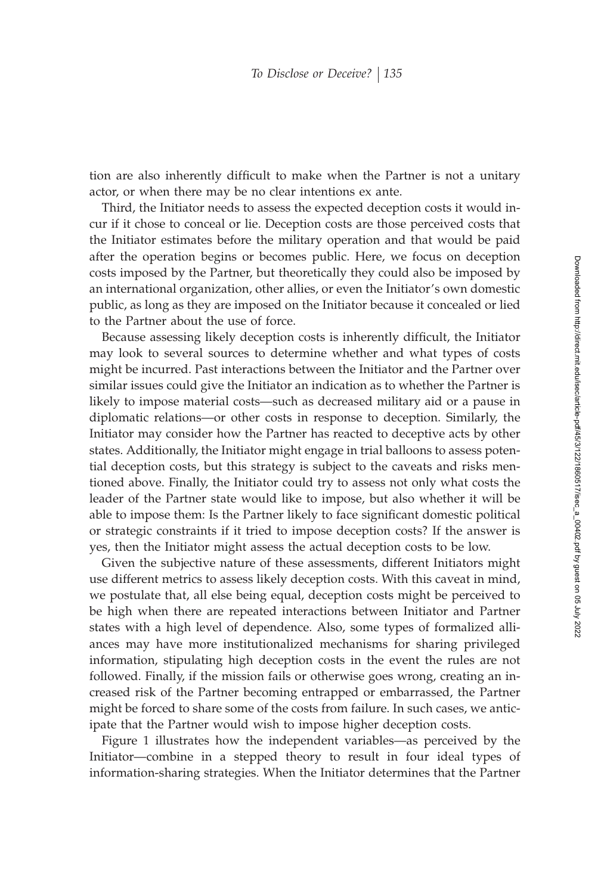tion are also inherently difficult to make when the Partner is not a unitary actor, or when there may be no clear intentions ex ante.

Third, the Initiator needs to assess the expected deception costs it would incur if it chose to conceal or lie. Deception costs are those perceived costs that the Initiator estimates before the military operation and that would be paid after the operation begins or becomes public. Here, we focus on deception costs imposed by the Partner, but theoretically they could also be imposed by an international organization, other allies, or even the Initiator's own domestic public, as long as they are imposed on the Initiator because it concealed or lied to the Partner about the use of force.

Because assessing likely deception costs is inherently difficult, the Initiator may look to several sources to determine whether and what types of costs might be incurred. Past interactions between the Initiator and the Partner over similar issues could give the Initiator an indication as to whether the Partner is likely to impose material costs—such as decreased military aid or a pause in diplomatic relations—or other costs in response to deception. Similarly, the Initiator may consider how the Partner has reacted to deceptive acts by other states. Additionally, the Initiator might engage in trial balloons to assess potential deception costs, but this strategy is subject to the caveats and risks mentioned above. Finally, the Initiator could try to assess not only what costs the leader of the Partner state would like to impose, but also whether it will be able to impose them: Is the Partner likely to face significant domestic political or strategic constraints if it tried to impose deception costs? If the answer is yes, then the Initiator might assess the actual deception costs to be low.

Given the subjective nature of these assessments, different Initiators might use different metrics to assess likely deception costs. With this caveat in mind, we postulate that, all else being equal, deception costs might be perceived to be high when there are repeated interactions between Initiator and Partner states with a high level of dependence. Also, some types of formalized alliances may have more institutionalized mechanisms for sharing privileged information, stipulating high deception costs in the event the rules are not followed. Finally, if the mission fails or otherwise goes wrong, creating an increased risk of the Partner becoming entrapped or embarrassed, the Partner might be forced to share some of the costs from failure. In such cases, we anticipate that the Partner would wish to impose higher deception costs.

Figure 1 illustrates how the independent variables—as perceived by the Initiator—combine in a stepped theory to result in four ideal types of information-sharing strategies. When the Initiator determines that the Partner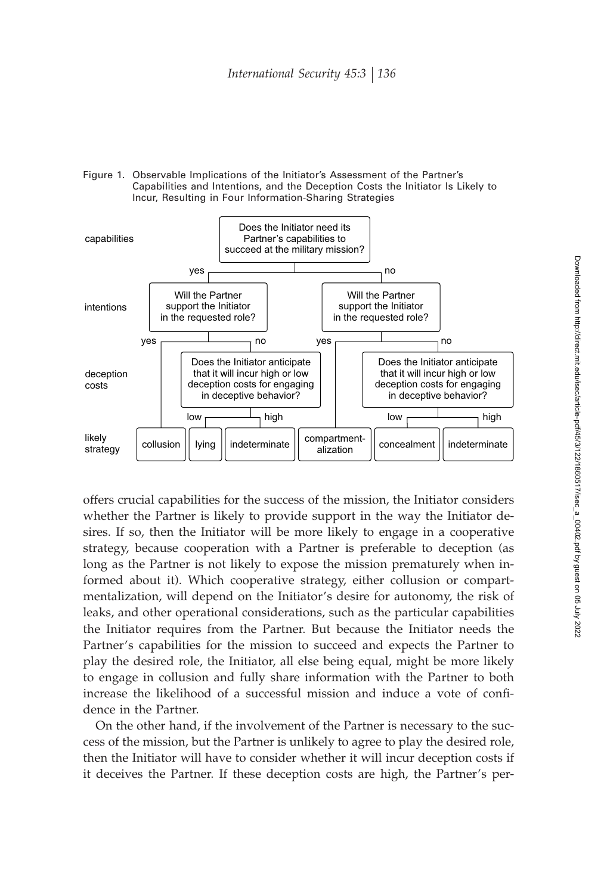



offers crucial capabilities for the success of the mission, the Initiator considers whether the Partner is likely to provide support in the way the Initiator desires. If so, then the Initiator will be more likely to engage in a cooperative strategy, because cooperation with a Partner is preferable to deception (as long as the Partner is not likely to expose the mission prematurely when informed about it). Which cooperative strategy, either collusion or compartmentalization, will depend on the Initiator's desire for autonomy, the risk of leaks, and other operational considerations, such as the particular capabilities the Initiator requires from the Partner. But because the Initiator needs the Partner's capabilities for the mission to succeed and expects the Partner to play the desired role, the Initiator, all else being equal, might be more likely to engage in collusion and fully share information with the Partner to both increase the likelihood of a successful mission and induce a vote of confidence in the Partner.

On the other hand, if the involvement of the Partner is necessary to the success of the mission, but the Partner is unlikely to agree to play the desired role, then the Initiator will have to consider whether it will incur deception costs if it deceives the Partner. If these deception costs are high, the Partner's per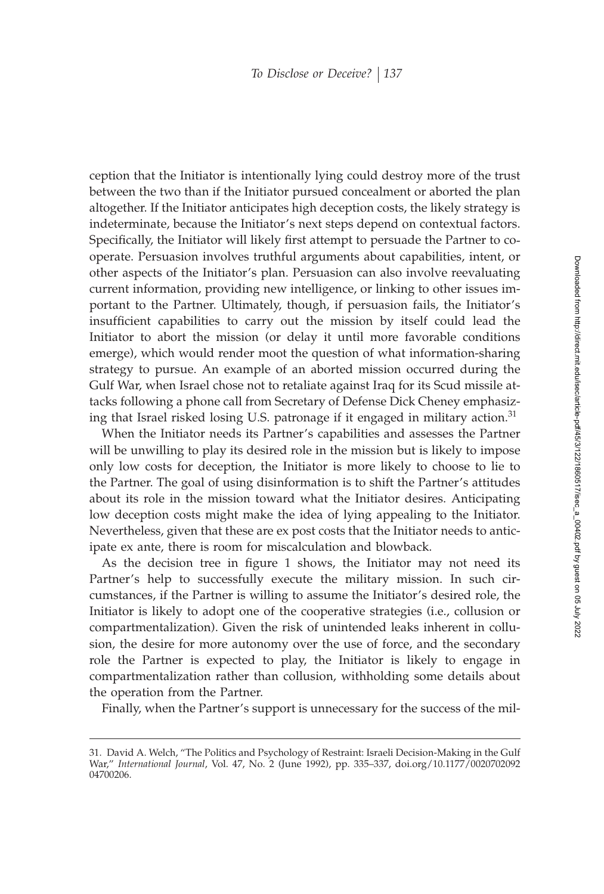ception that the Initiator is intentionally lying could destroy more of the trust between the two than if the Initiator pursued concealment or aborted the plan altogether. If the Initiator anticipates high deception costs, the likely strategy is indeterminate, because the Initiator's next steps depend on contextual factors. Specifically, the Initiator will likely first attempt to persuade the Partner to cooperate. Persuasion involves truthful arguments about capabilities, intent, or other aspects of the Initiator's plan. Persuasion can also involve reevaluating current information, providing new intelligence, or linking to other issues important to the Partner. Ultimately, though, if persuasion fails, the Initiator's insufficient capabilities to carry out the mission by itself could lead the Initiator to abort the mission (or delay it until more favorable conditions emerge), which would render moot the question of what information-sharing strategy to pursue. An example of an aborted mission occurred during the Gulf War, when Israel chose not to retaliate against Iraq for its Scud missile attacks following a phone call from Secretary of Defense Dick Cheney emphasizing that Israel risked losing U.S. patronage if it engaged in military action.<sup>31</sup>

When the Initiator needs its Partner's capabilities and assesses the Partner will be unwilling to play its desired role in the mission but is likely to impose only low costs for deception, the Initiator is more likely to choose to lie to the Partner. The goal of using disinformation is to shift the Partner's attitudes about its role in the mission toward what the Initiator desires. Anticipating low deception costs might make the idea of lying appealing to the Initiator. Nevertheless, given that these are ex post costs that the Initiator needs to anticipate ex ante, there is room for miscalculation and blowback.

As the decision tree in figure 1 shows, the Initiator may not need its Partner's help to successfully execute the military mission. In such circumstances, if the Partner is willing to assume the Initiator's desired role, the Initiator is likely to adopt one of the cooperative strategies (i.e., collusion or compartmentalization). Given the risk of unintended leaks inherent in collusion, the desire for more autonomy over the use of force, and the secondary role the Partner is expected to play, the Initiator is likely to engage in compartmentalization rather than collusion, withholding some details about the operation from the Partner.

Finally, when the Partner's support is unnecessary for the success of the mil-

<sup>31.</sup> David A. Welch, "The Politics and Psychology of Restraint: Israeli Decision-Making in the Gulf War," *International Journal*, Vol. 47, No. 2 (June 1992), pp. 335–337, doi.org/10.1177/0020702092 04700206.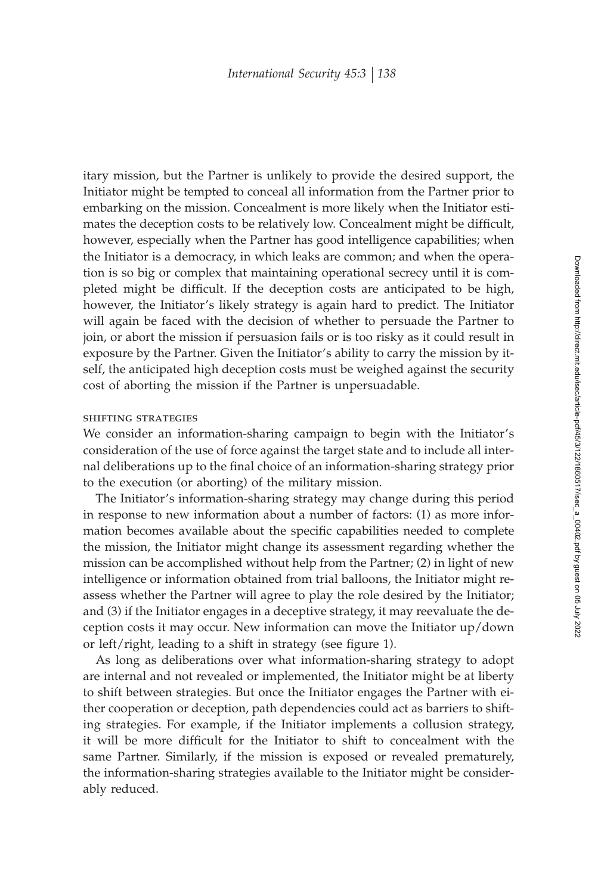itary mission, but the Partner is unlikely to provide the desired support, the Initiator might be tempted to conceal all information from the Partner prior to embarking on the mission. Concealment is more likely when the Initiator estimates the deception costs to be relatively low. Concealment might be difficult, however, especially when the Partner has good intelligence capabilities; when the Initiator is a democracy, in which leaks are common; and when the operation is so big or complex that maintaining operational secrecy until it is completed might be difficult. If the deception costs are anticipated to be high, however, the Initiator's likely strategy is again hard to predict. The Initiator will again be faced with the decision of whether to persuade the Partner to join, or abort the mission if persuasion fails or is too risky as it could result in exposure by the Partner. Given the Initiator's ability to carry the mission by itself, the anticipated high deception costs must be weighed against the security cost of aborting the mission if the Partner is unpersuadable.

#### shifting strategies

We consider an information-sharing campaign to begin with the Initiator's consideration of the use of force against the target state and to include all internal deliberations up to the final choice of an information-sharing strategy prior to the execution (or aborting) of the military mission.

The Initiator's information-sharing strategy may change during this period in response to new information about a number of factors: (1) as more information becomes available about the specific capabilities needed to complete the mission, the Initiator might change its assessment regarding whether the mission can be accomplished without help from the Partner; (2) in light of new intelligence or information obtained from trial balloons, the Initiator might reassess whether the Partner will agree to play the role desired by the Initiator; and (3) if the Initiator engages in a deceptive strategy, it may reevaluate the deception costs it may occur. New information can move the Initiator up/down or left/right, leading to a shift in strategy (see figure 1).

As long as deliberations over what information-sharing strategy to adopt are internal and not revealed or implemented, the Initiator might be at liberty to shift between strategies. But once the Initiator engages the Partner with either cooperation or deception, path dependencies could act as barriers to shifting strategies. For example, if the Initiator implements a collusion strategy, it will be more difficult for the Initiator to shift to concealment with the same Partner. Similarly, if the mission is exposed or revealed prematurely, the information-sharing strategies available to the Initiator might be considerably reduced.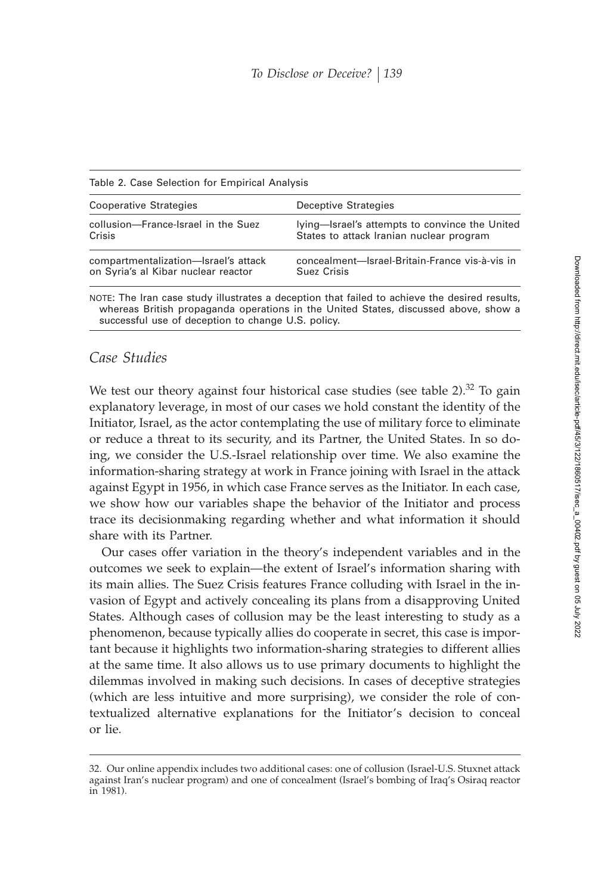| Table 2. Case Ociection for Empirical Analysis<br><b>Cooperative Strategies</b> | Deceptive Strategies                           |
|---------------------------------------------------------------------------------|------------------------------------------------|
| collusion-France-Israel in the Suez                                             | lying-Israel's attempts to convince the United |
| Crisis                                                                          | States to attack Iranian nuclear program       |
| compartmentalization-Israel's attack                                            | concealment—Israel-Britain-France vis-à-vis in |
| on Syria's al Kibar nuclear reactor                                             | Suez Crisis                                    |

NOTE: The Iran case study illustrates a deception that failed to achieve the desired results, whereas British propaganda operations in the United States, discussed above, show a successful use of deception to change U.S. policy.

# *Case Studies*

Table 2. Case Selection for Empirical Analysis

We test our theory against four historical case studies (see table  $2$ ).<sup>32</sup> To gain explanatory leverage, in most of our cases we hold constant the identity of the Initiator, Israel, as the actor contemplating the use of military force to eliminate or reduce a threat to its security, and its Partner, the United States. In so doing, we consider the U.S.-Israel relationship over time. We also examine the information-sharing strategy at work in France joining with Israel in the attack against Egypt in 1956, in which case France serves as the Initiator. In each case, we show how our variables shape the behavior of the Initiator and process trace its decisionmaking regarding whether and what information it should share with its Partner.

Our cases offer variation in the theory's independent variables and in the outcomes we seek to explain—the extent of Israel's information sharing with its main allies. The Suez Crisis features France colluding with Israel in the invasion of Egypt and actively concealing its plans from a disapproving United States. Although cases of collusion may be the least interesting to study as a phenomenon, because typically allies do cooperate in secret, this case is important because it highlights two information-sharing strategies to different allies at the same time. It also allows us to use primary documents to highlight the dilemmas involved in making such decisions. In cases of deceptive strategies (which are less intuitive and more surprising), we consider the role of contextualized alternative explanations for the Initiator's decision to conceal or lie.

<sup>32.</sup> Our online appendix includes two additional cases: one of collusion (Israel-U.S. Stuxnet attack against Iran's nuclear program) and one of concealment (Israel's bombing of Iraq's Osiraq reactor in 1981).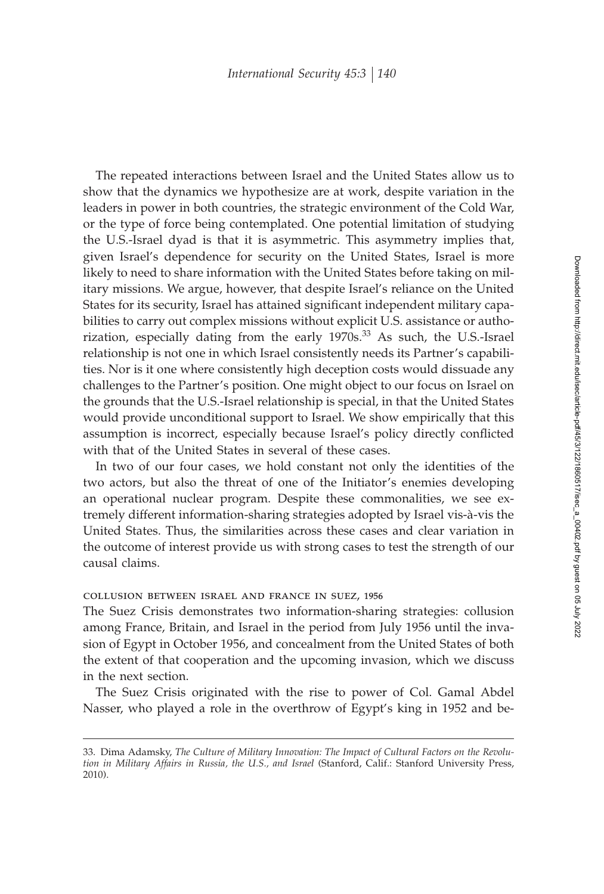The repeated interactions between Israel and the United States allow us to show that the dynamics we hypothesize are at work, despite variation in the leaders in power in both countries, the strategic environment of the Cold War, or the type of force being contemplated. One potential limitation of studying the U.S.-Israel dyad is that it is asymmetric. This asymmetry implies that, given Israel's dependence for security on the United States, Israel is more likely to need to share information with the United States before taking on military missions. We argue, however, that despite Israel's reliance on the United States for its security, Israel has attained significant independent military capabilities to carry out complex missions without explicit U.S. assistance or authorization, especially dating from the early 1970s.<sup>33</sup> As such, the U.S.-Israel relationship is not one in which Israel consistently needs its Partner's capabilities. Nor is it one where consistently high deception costs would dissuade any challenges to the Partner's position. One might object to our focus on Israel on the grounds that the U.S.-Israel relationship is special, in that the United States would provide unconditional support to Israel. We show empirically that this assumption is incorrect, especially because Israel's policy directly conflicted with that of the United States in several of these cases.

In two of our four cases, we hold constant not only the identities of the two actors, but also the threat of one of the Initiator's enemies developing an operational nuclear program. Despite these commonalities, we see extremely different information-sharing strategies adopted by Israel vis-à-vis the United States. Thus, the similarities across these cases and clear variation in the outcome of interest provide us with strong cases to test the strength of our causal claims.

#### collusion between israel and france in suez, 1956

The Suez Crisis demonstrates two information-sharing strategies: collusion among France, Britain, and Israel in the period from July 1956 until the invasion of Egypt in October 1956, and concealment from the United States of both the extent of that cooperation and the upcoming invasion, which we discuss in the next section.

The Suez Crisis originated with the rise to power of Col. Gamal Abdel Nasser, who played a role in the overthrow of Egypt's king in 1952 and be-

<sup>33.</sup> Dima Adamsky, *The Culture of Military Innovation: The Impact of Cultural Factors on the Revolution in Military Affairs in Russia, the U.S., and Israel* (Stanford, Calif.: Stanford University Press, 2010).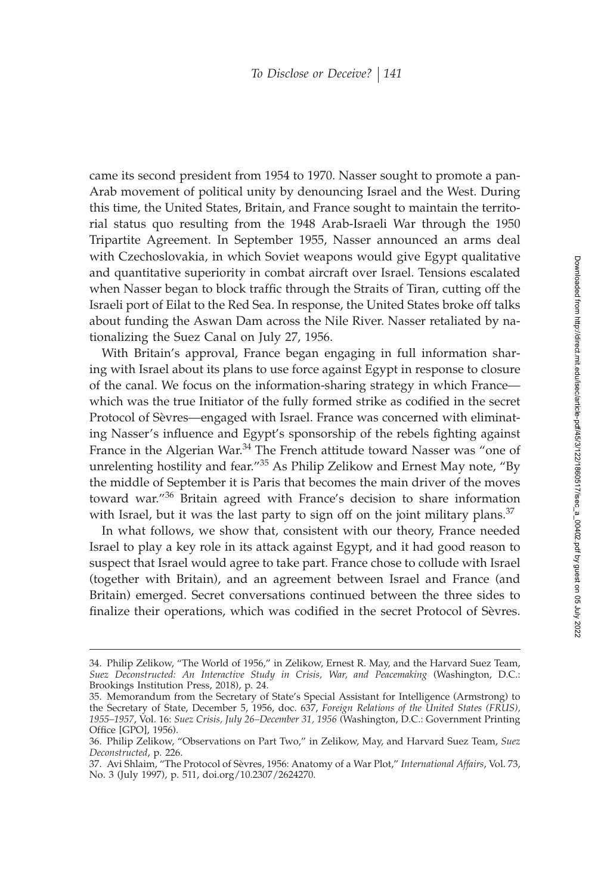came its second president from 1954 to 1970. Nasser sought to promote a pan-Arab movement of political unity by denouncing Israel and the West. During this time, the United States, Britain, and France sought to maintain the territorial status quo resulting from the 1948 Arab-Israeli War through the 1950 Tripartite Agreement. In September 1955, Nasser announced an arms deal with Czechoslovakia, in which Soviet weapons would give Egypt qualitative and quantitative superiority in combat aircraft over Israel. Tensions escalated when Nasser began to block traffic through the Straits of Tiran, cutting off the Israeli port of Eilat to the Red Sea. In response, the United States broke off talks about funding the Aswan Dam across the Nile River. Nasser retaliated by nationalizing the Suez Canal on July 27, 1956.

With Britain's approval, France began engaging in full information sharing with Israel about its plans to use force against Egypt in response to closure of the canal. We focus on the information-sharing strategy in which France which was the true Initiator of the fully formed strike as codified in the secret Protocol of Sèvres—engaged with Israel. France was concerned with eliminating Nasser's influence and Egypt's sponsorship of the rebels fighting against France in the Algerian War.<sup>34</sup> The French attitude toward Nasser was "one of unrelenting hostility and fear."<sup>35</sup> As Philip Zelikow and Ernest May note, "By the middle of September it is Paris that becomes the main driver of the moves toward war."36 Britain agreed with France's decision to share information with Israel, but it was the last party to sign off on the joint military plans. $37$ 

In what follows, we show that, consistent with our theory, France needed Israel to play a key role in its attack against Egypt, and it had good reason to suspect that Israel would agree to take part. France chose to collude with Israel (together with Britain), and an agreement between Israel and France (and Britain) emerged. Secret conversations continued between the three sides to finalize their operations, which was codified in the secret Protocol of Sèvres.

<sup>34.</sup> Philip Zelikow, "The World of 1956," in Zelikow, Ernest R. May, and the Harvard Suez Team, *Suez Deconstructed: An Interactive Study in Crisis, War, and Peacemaking* (Washington, D.C.: Brookings Institution Press, 2018), p. 24.

<sup>35.</sup> Memorandum from the Secretary of State's Special Assistant for Intelligence (Armstrong) to the Secretary of State, December 5, 1956, doc. 637, *Foreign Relations of the United States (FRUS), 1955–1957*, Vol. 16: *Suez Crisis, July 26–December 31, 1956* (Washington, D.C.: Government Printing Office [GPO], 1956).

<sup>36.</sup> Philip Zelikow, "Observations on Part Two," in Zelikow, May, and Harvard Suez Team, *Suez Deconstructed*, p. 226.

<sup>37.</sup> Avi Shlaim, "The Protocol of Sèvres, 1956: Anatomy of a War Plot," *International Affairs*, Vol. 73, No. 3 (July 1997), p. 511, doi.org/10.2307/2624270.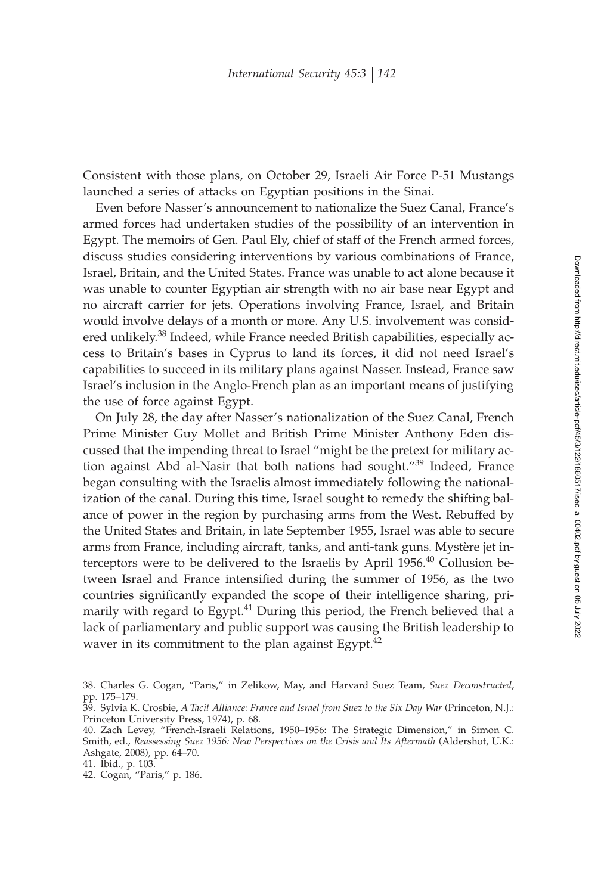Consistent with those plans, on October 29, Israeli Air Force P-51 Mustangs launched a series of attacks on Egyptian positions in the Sinai.

Even before Nasser's announcement to nationalize the Suez Canal, France's armed forces had undertaken studies of the possibility of an intervention in Egypt. The memoirs of Gen. Paul Ely, chief of staff of the French armed forces, discuss studies considering interventions by various combinations of France, Israel, Britain, and the United States. France was unable to act alone because it was unable to counter Egyptian air strength with no air base near Egypt and no aircraft carrier for jets. Operations involving France, Israel, and Britain would involve delays of a month or more. Any U.S. involvement was considered unlikely.<sup>38</sup> Indeed, while France needed British capabilities, especially access to Britain's bases in Cyprus to land its forces, it did not need Israel's capabilities to succeed in its military plans against Nasser. Instead, France saw Israel's inclusion in the Anglo-French plan as an important means of justifying the use of force against Egypt.

On July 28, the day after Nasser's nationalization of the Suez Canal, French Prime Minister Guy Mollet and British Prime Minister Anthony Eden discussed that the impending threat to Israel "might be the pretext for military action against Abd al-Nasir that both nations had sought."<sup>39</sup> Indeed, France began consulting with the Israelis almost immediately following the nationalization of the canal. During this time, Israel sought to remedy the shifting balance of power in the region by purchasing arms from the West. Rebuffed by the United States and Britain, in late September 1955, Israel was able to secure arms from France, including aircraft, tanks, and anti-tank guns. Mystère jet interceptors were to be delivered to the Israelis by April 1956.<sup>40</sup> Collusion between Israel and France intensified during the summer of 1956, as the two countries significantly expanded the scope of their intelligence sharing, primarily with regard to Egypt.<sup>41</sup> During this period, the French believed that a lack of parliamentary and public support was causing the British leadership to waver in its commitment to the plan against Egypt. $42$ 

<sup>38.</sup> Charles G. Cogan, "Paris," in Zelikow, May, and Harvard Suez Team, *Suez Deconstructed*, pp. 175–179.

<sup>39.</sup> Sylvia K. Crosbie, *A Tacit Alliance: France and Israel from Suez to the Six Day War* (Princeton, N.J.: Princeton University Press, 1974), p. 68.

<sup>40.</sup> Zach Levey, "French-Israeli Relations, 1950–1956: The Strategic Dimension," in Simon C. Smith, ed., *Reassessing Suez 1956: New Perspectives on the Crisis and Its Aftermath* (Aldershot, U.K.: Ashgate, 2008), pp. 64–70.

<sup>41.</sup> Ibid., p. 103.

<sup>42.</sup> Cogan, "Paris," p. 186.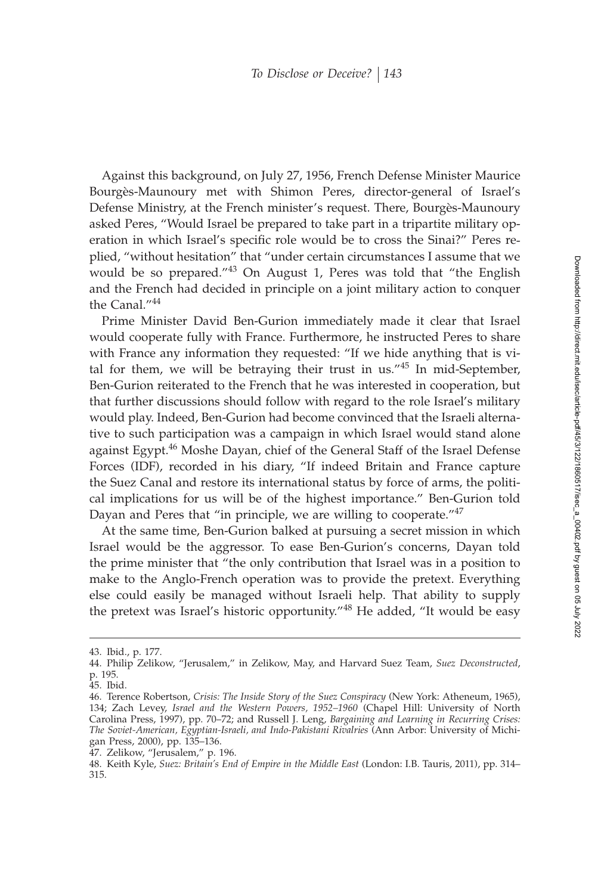Against this background, on July 27, 1956, French Defense Minister Maurice Bourgès-Maunoury met with Shimon Peres, director-general of Israel's Defense Ministry, at the French minister's request. There, Bourgès-Maunoury asked Peres, "Would Israel be prepared to take part in a tripartite military operation in which Israel's specific role would be to cross the Sinai?" Peres replied, "without hesitation" that "under certain circumstances I assume that we would be so prepared."<sup>43</sup> On August 1, Peres was told that "the English and the French had decided in principle on a joint military action to conquer the Canal."<sup>44</sup>

Prime Minister David Ben-Gurion immediately made it clear that Israel would cooperate fully with France. Furthermore, he instructed Peres to share with France any information they requested: "If we hide anything that is vital for them, we will be betraying their trust in us."<sup>45</sup> In mid-September, Ben-Gurion reiterated to the French that he was interested in cooperation, but that further discussions should follow with regard to the role Israel's military would play. Indeed, Ben-Gurion had become convinced that the Israeli alternative to such participation was a campaign in which Israel would stand alone against Egypt.<sup>46</sup> Moshe Dayan, chief of the General Staff of the Israel Defense Forces (IDF), recorded in his diary, "If indeed Britain and France capture the Suez Canal and restore its international status by force of arms, the political implications for us will be of the highest importance." Ben-Gurion told Dayan and Peres that "in principle, we are willing to cooperate."<sup>47</sup>

At the same time, Ben-Gurion balked at pursuing a secret mission in which Israel would be the aggressor. To ease Ben-Gurion's concerns, Dayan told the prime minister that "the only contribution that Israel was in a position to make to the Anglo-French operation was to provide the pretext. Everything else could easily be managed without Israeli help. That ability to supply the pretext was Israel's historic opportunity."<sup>48</sup> He added, "It would be easy

<sup>43.</sup> Ibid., p. 177.

<sup>44.</sup> Philip Zelikow, "Jerusalem," in Zelikow, May, and Harvard Suez Team, *Suez Deconstructed*, p. 195.

<sup>45.</sup> Ibid.

<sup>46.</sup> Terence Robertson, *Crisis: The Inside Story of the Suez Conspiracy* (New York: Atheneum, 1965), 134; Zach Levey, *Israel and the Western Powers, 1952–1960* (Chapel Hill: University of North Carolina Press, 1997), pp. 70–72; and Russell J. Leng, *Bargaining and Learning in Recurring Crises: The Soviet-American, Egyptian-Israeli, and Indo-Pakistani Rivalries* (Ann Arbor: University of Michigan Press, 2000), pp. 135–136.

<sup>47.</sup> Zelikow, "Jerusalem," p. 196.

<sup>48.</sup> Keith Kyle, *Suez: Britain's End of Empire in the Middle East* (London: I.B. Tauris, 2011), pp. 314– 315.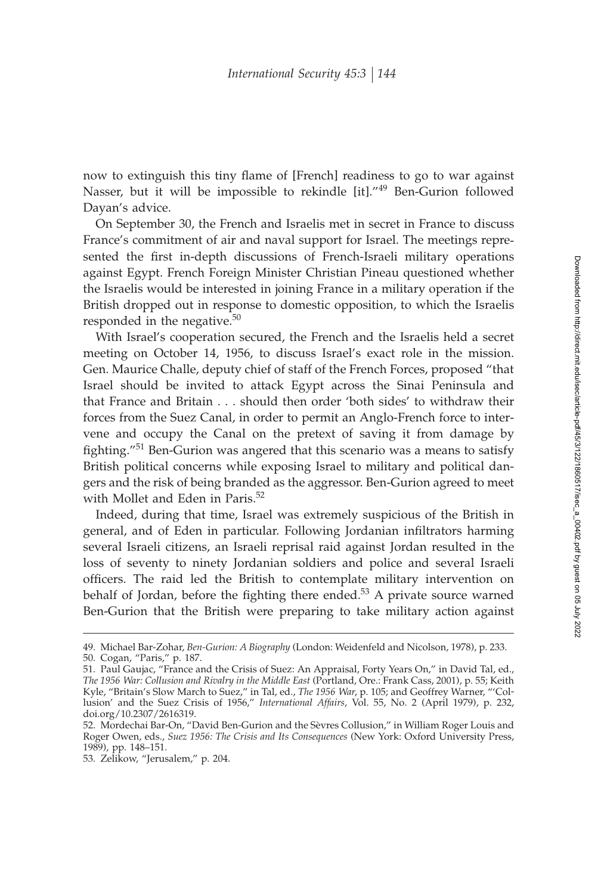now to extinguish this tiny flame of [French] readiness to go to war against Nasser, but it will be impossible to rekindle [it]."<sup>49</sup> Ben-Gurion followed Dayan's advice.

On September 30, the French and Israelis met in secret in France to discuss France's commitment of air and naval support for Israel. The meetings represented the first in-depth discussions of French-Israeli military operations against Egypt. French Foreign Minister Christian Pineau questioned whether the Israelis would be interested in joining France in a military operation if the British dropped out in response to domestic opposition, to which the Israelis responded in the negative.<sup>50</sup>

With Israel's cooperation secured, the French and the Israelis held a secret meeting on October 14, 1956, to discuss Israel's exact role in the mission. Gen. Maurice Challe, deputy chief of staff of the French Forces, proposed "that Israel should be invited to attack Egypt across the Sinai Peninsula and that France and Britain . . . should then order 'both sides' to withdraw their forces from the Suez Canal, in order to permit an Anglo-French force to intervene and occupy the Canal on the pretext of saving it from damage by fighting."<sup>51</sup> Ben-Gurion was angered that this scenario was a means to satisfy British political concerns while exposing Israel to military and political dangers and the risk of being branded as the aggressor. Ben-Gurion agreed to meet with Mollet and Eden in Paris.<sup>52</sup>

Indeed, during that time, Israel was extremely suspicious of the British in general, and of Eden in particular. Following Jordanian infiltrators harming several Israeli citizens, an Israeli reprisal raid against Jordan resulted in the loss of seventy to ninety Jordanian soldiers and police and several Israeli officers. The raid led the British to contemplate military intervention on behalf of Jordan, before the fighting there ended.<sup>53</sup> A private source warned Ben-Gurion that the British were preparing to take military action against

<sup>49.</sup> Michael Bar-Zohar, *Ben-Gurion: A Biography* (London: Weidenfeld and Nicolson, 1978), p. 233. 50. Cogan, "Paris," p. 187.

<sup>51.</sup> Paul Gaujac, "France and the Crisis of Suez: An Appraisal, Forty Years On," in David Tal, ed., *The 1956 War: Collusion and Rivalry in the Middle East* (Portland, Ore.: Frank Cass, 2001), p. 55; Keith Kyle, "Britain's Slow March to Suez," in Tal, ed., *The 1956 War*, p. 105; and Geoffrey Warner, "'Collusion' and the Suez Crisis of 1956," *International Affairs*, Vol. 55, No. 2 (April 1979), p. 232, doi.org/10.2307/2616319.

<sup>52.</sup> Mordechai Bar-On, "David Ben-Gurion and the Sèvres Collusion," in William Roger Louis and Roger Owen, eds., *Suez 1956: The Crisis and Its Consequences* (New York: Oxford University Press, 1989), pp. 148–151.

<sup>53.</sup> Zelikow, "Jerusalem," p. 204.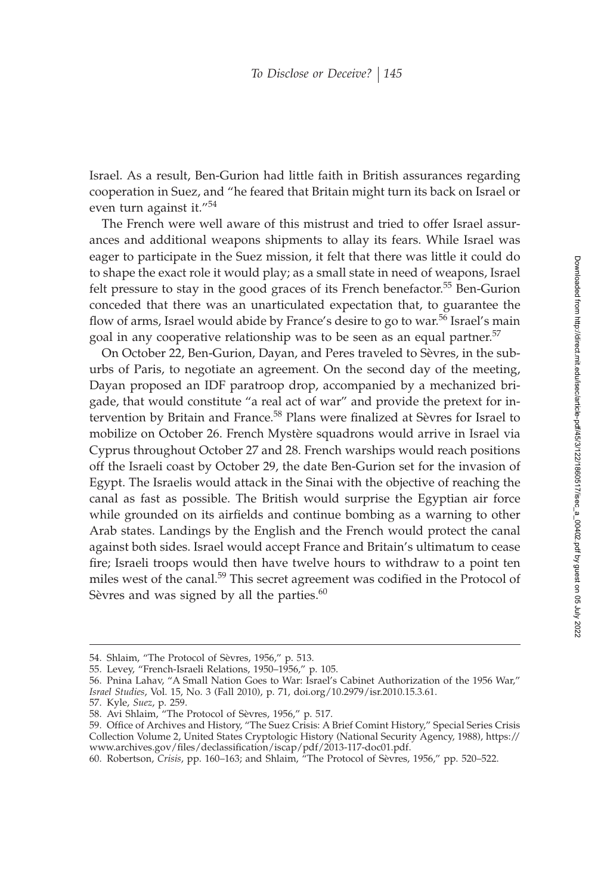Israel. As a result, Ben-Gurion had little faith in British assurances regarding cooperation in Suez, and "he feared that Britain might turn its back on Israel or even turn against it."<sup>54</sup>

The French were well aware of this mistrust and tried to offer Israel assurances and additional weapons shipments to allay its fears. While Israel was eager to participate in the Suez mission, it felt that there was little it could do to shape the exact role it would play; as a small state in need of weapons, Israel felt pressure to stay in the good graces of its French benefactor.<sup>55</sup> Ben-Gurion conceded that there was an unarticulated expectation that, to guarantee the flow of arms, Israel would abide by France's desire to go to war.<sup>56</sup> Israel's main goal in any cooperative relationship was to be seen as an equal partner.<sup>57</sup>

On October 22, Ben-Gurion, Dayan, and Peres traveled to Sèvres, in the suburbs of Paris, to negotiate an agreement. On the second day of the meeting, Dayan proposed an IDF paratroop drop, accompanied by a mechanized brigade, that would constitute "a real act of war" and provide the pretext for intervention by Britain and France.<sup>58</sup> Plans were finalized at Sèvres for Israel to mobilize on October 26. French Mystère squadrons would arrive in Israel via Cyprus throughout October 27 and 28. French warships would reach positions off the Israeli coast by October 29, the date Ben-Gurion set for the invasion of Egypt. The Israelis would attack in the Sinai with the objective of reaching the canal as fast as possible. The British would surprise the Egyptian air force while grounded on its airfields and continue bombing as a warning to other Arab states. Landings by the English and the French would protect the canal against both sides. Israel would accept France and Britain's ultimatum to cease fire; Israeli troops would then have twelve hours to withdraw to a point ten miles west of the canal.<sup>59</sup> This secret agreement was codified in the Protocol of Sèvres and was signed by all the parties. $60$ 

<sup>54.</sup> Shlaim, "The Protocol of Sèvres, 1956," p. 513.

<sup>55.</sup> Levey, "French-Israeli Relations, 1950–1956," p. 105.

<sup>56.</sup> Pnina Lahav, "A Small Nation Goes to War: Israel's Cabinet Authorization of the 1956 War," *Israel Studies*, Vol. 15, No. 3 (Fall 2010), p. 71, doi.org/10.2979/isr.2010.15.3.61.

<sup>57.</sup> Kyle, *Suez*, p. 259.

<sup>58.</sup> Avi Shlaim, "The Protocol of Sèvres, 1956," p. 517.

<sup>59.</sup> Office of Archives and History, "The Suez Crisis: A Brief Comint History," Special Series Crisis Collection Volume 2, United States Cryptologic History (National Security Agency, 1988), https:// www.archives.gov/files/declassification/iscap/pdf/2013-117-doc01.pdf.

<sup>60.</sup> Robertson, *Crisis*, pp. 160–163; and Shlaim, "The Protocol of Sèvres, 1956," pp. 520–522.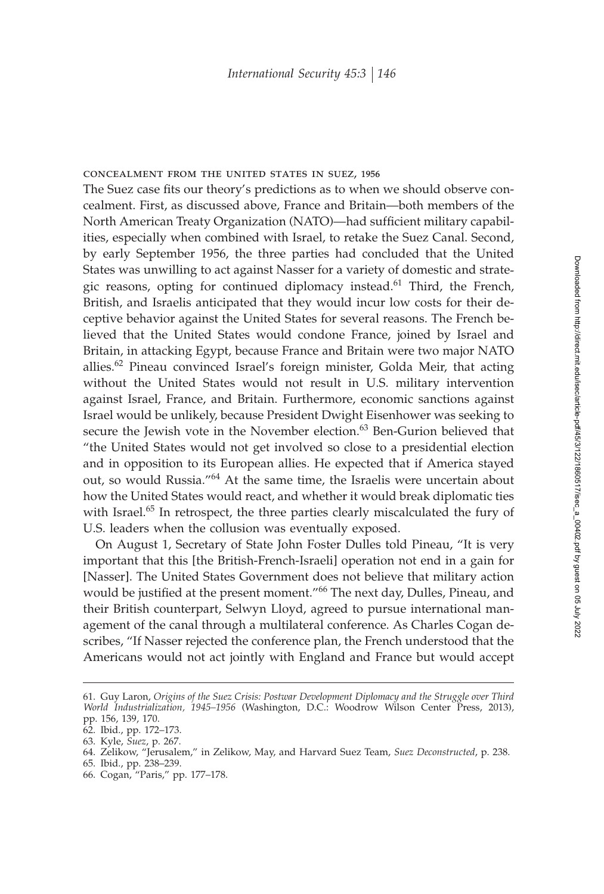### concealment from the united states in suez, 1956

The Suez case fits our theory's predictions as to when we should observe concealment. First, as discussed above, France and Britain—both members of the North American Treaty Organization (NATO)—had sufficient military capabilities, especially when combined with Israel, to retake the Suez Canal. Second, by early September 1956, the three parties had concluded that the United States was unwilling to act against Nasser for a variety of domestic and strategic reasons, opting for continued diplomacy instead.<sup>61</sup> Third, the French, British, and Israelis anticipated that they would incur low costs for their deceptive behavior against the United States for several reasons. The French believed that the United States would condone France, joined by Israel and Britain, in attacking Egypt, because France and Britain were two major NATO allies.<sup>62</sup> Pineau convinced Israel's foreign minister, Golda Meir, that acting without the United States would not result in U.S. military intervention against Israel, France, and Britain. Furthermore, economic sanctions against Israel would be unlikely, because President Dwight Eisenhower was seeking to secure the Jewish vote in the November election.<sup>63</sup> Ben-Gurion believed that "the United States would not get involved so close to a presidential election and in opposition to its European allies. He expected that if America stayed out, so would Russia."<sup>64</sup> At the same time, the Israelis were uncertain about how the United States would react, and whether it would break diplomatic ties with Israel.<sup>65</sup> In retrospect, the three parties clearly miscalculated the fury of U.S. leaders when the collusion was eventually exposed.

On August 1, Secretary of State John Foster Dulles told Pineau, "It is very important that this [the British-French-Israeli] operation not end in a gain for [Nasser]. The United States Government does not believe that military action would be justified at the present moment."<sup>66</sup> The next day, Dulles, Pineau, and their British counterpart, Selwyn Lloyd, agreed to pursue international management of the canal through a multilateral conference. As Charles Cogan describes, "If Nasser rejected the conference plan, the French understood that the Americans would not act jointly with England and France but would accept

<sup>61.</sup> Guy Laron, *Origins of the Suez Crisis: Postwar Development Diplomacy and the Struggle over Third World Industrialization, 1945–1956* (Washington, D.C.: Woodrow Wilson Center Press, 2013), pp. 156, 139, 170.

<sup>62.</sup> Ibid., pp. 172–173.

<sup>63.</sup> Kyle, *Suez*, p. 267.

<sup>64.</sup> Zelikow, "Jerusalem," in Zelikow, May, and Harvard Suez Team, *Suez Deconstructed*, p. 238.

<sup>65.</sup> Ibid., pp. 238–239.

<sup>66.</sup> Cogan, "Paris," pp. 177–178.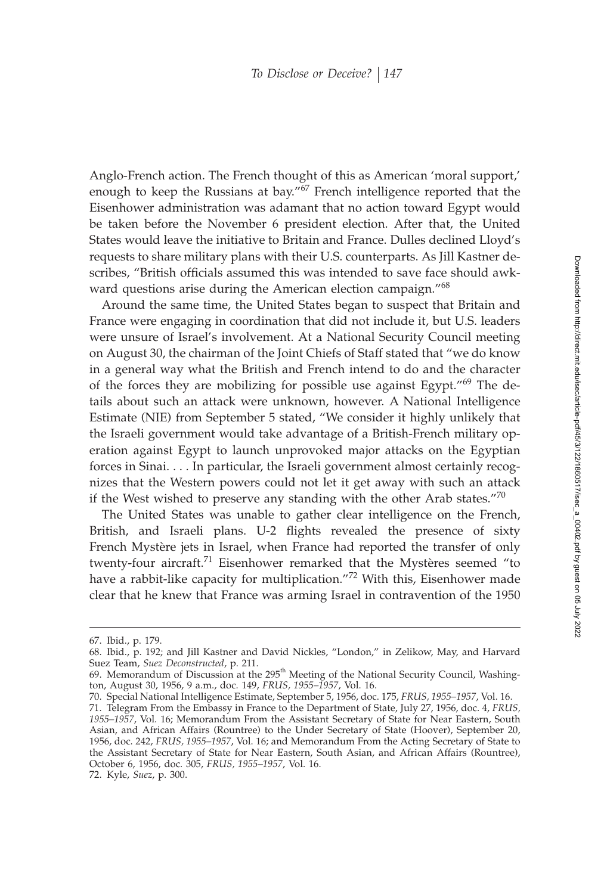Anglo-French action. The French thought of this as American 'moral support,' enough to keep the Russians at bay."<sup>67</sup> French intelligence reported that the Eisenhower administration was adamant that no action toward Egypt would be taken before the November 6 president election. After that, the United States would leave the initiative to Britain and France. Dulles declined Lloyd's requests to share military plans with their U.S. counterparts. As Jill Kastner describes, "British officials assumed this was intended to save face should awkward questions arise during the American election campaign."<sup>68</sup>

Around the same time, the United States began to suspect that Britain and France were engaging in coordination that did not include it, but U.S. leaders were unsure of Israel's involvement. At a National Security Council meeting on August 30, the chairman of the Joint Chiefs of Staff stated that "we do know in a general way what the British and French intend to do and the character of the forces they are mobilizing for possible use against Egypt."<sup>69</sup> The details about such an attack were unknown, however. A National Intelligence Estimate (NIE) from September 5 stated, "We consider it highly unlikely that the Israeli government would take advantage of a British-French military operation against Egypt to launch unprovoked major attacks on the Egyptian forces in Sinai. . . . In particular, the Israeli government almost certainly recognizes that the Western powers could not let it get away with such an attack if the West wished to preserve any standing with the other Arab states." $70$ 

The United States was unable to gather clear intelligence on the French, British, and Israeli plans. U-2 flights revealed the presence of sixty French Mystère jets in Israel, when France had reported the transfer of only twenty-four aircraft.<sup>71</sup> Eisenhower remarked that the Mystères seemed "to have a rabbit-like capacity for multiplication."<sup>72</sup> With this, Eisenhower made clear that he knew that France was arming Israel in contravention of the 1950

<sup>67.</sup> Ibid., p. 179.

<sup>68.</sup> Ibid., p. 192; and Jill Kastner and David Nickles, "London," in Zelikow, May, and Harvard Suez Team*, Suez Deconstructed,* p. 211.<br>69. Memorandum of Discussion at the 295<sup>th</sup> Meeting of the National Security Council*,* Washing-

ton, August 30, 1956, 9 a.m., doc. 149, *FRUS, 1955–1957*, Vol. 16.

<sup>70.</sup> Special National Intelligence Estimate, September 5, 1956, doc. 175, *FRUS, 1955–1957*, Vol. 16.

<sup>71.</sup> Telegram From the Embassy in France to the Department of State, July 27, 1956, doc. 4, *FRUS, 1955–1957*, Vol. 16; Memorandum From the Assistant Secretary of State for Near Eastern, South Asian, and African Affairs (Rountree) to the Under Secretary of State (Hoover), September 20, 1956, doc. 242, *FRUS, 1955–1957*, Vol. 16; and Memorandum From the Acting Secretary of State to the Assistant Secretary of State for Near Eastern, South Asian, and African Affairs (Rountree), October 6, 1956, doc. 305, *FRUS, 1955–1957*, Vol. 16.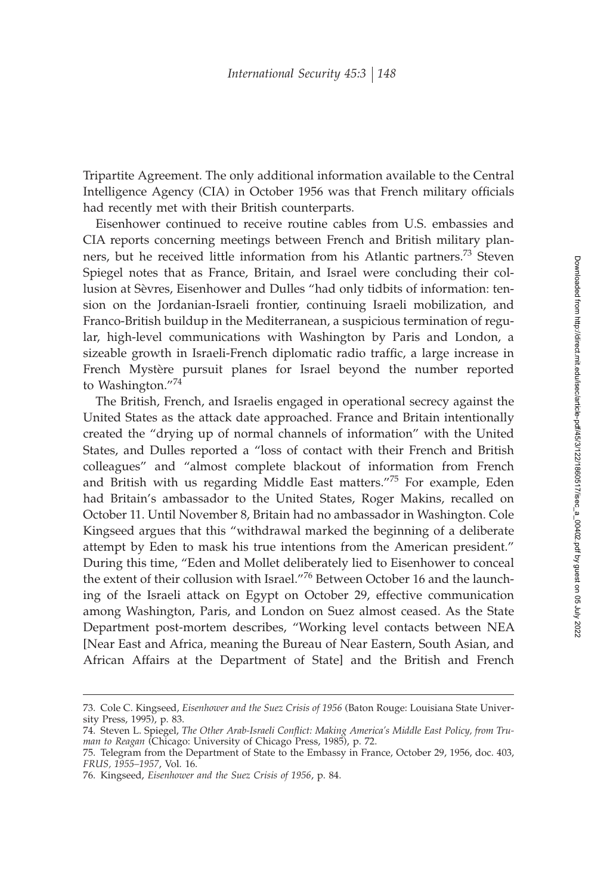Tripartite Agreement. The only additional information available to the Central Intelligence Agency (CIA) in October 1956 was that French military officials had recently met with their British counterparts.

Eisenhower continued to receive routine cables from U.S. embassies and CIA reports concerning meetings between French and British military planners, but he received little information from his Atlantic partners.<sup>73</sup> Steven Spiegel notes that as France, Britain, and Israel were concluding their collusion at Sèvres, Eisenhower and Dulles "had only tidbits of information: tension on the Jordanian-Israeli frontier, continuing Israeli mobilization, and Franco-British buildup in the Mediterranean, a suspicious termination of regular, high-level communications with Washington by Paris and London, a sizeable growth in Israeli-French diplomatic radio traffic, a large increase in French Mystère pursuit planes for Israel beyond the number reported to Washington."<sup>74</sup>

The British, French, and Israelis engaged in operational secrecy against the United States as the attack date approached. France and Britain intentionally created the "drying up of normal channels of information" with the United States, and Dulles reported a "loss of contact with their French and British colleagues" and "almost complete blackout of information from French and British with us regarding Middle East matters."<sup>75</sup> For example, Eden had Britain's ambassador to the United States, Roger Makins, recalled on October 11. Until November 8, Britain had no ambassador in Washington. Cole Kingseed argues that this "withdrawal marked the beginning of a deliberate attempt by Eden to mask his true intentions from the American president." During this time, "Eden and Mollet deliberately lied to Eisenhower to conceal the extent of their collusion with Israel."<sup>76</sup> Between October 16 and the launching of the Israeli attack on Egypt on October 29, effective communication among Washington, Paris, and London on Suez almost ceased. As the State Department post-mortem describes, "Working level contacts between NEA [Near East and Africa, meaning the Bureau of Near Eastern, South Asian, and African Affairs at the Department of State] and the British and French

<sup>73.</sup> Cole C. Kingseed, *Eisenhower and the Suez Crisis of 1956* (Baton Rouge: Louisiana State University Press, 1995), p. 83.

<sup>74.</sup> Steven L. Spiegel, The Other Arab-Israeli Conflict: Making America's Middle East Policy, from Tru*man to Reagan* (Chicago: University of Chicago Press, 1985), p. 72.

<sup>75.</sup> Telegram from the Department of State to the Embassy in France, October 29, 1956, doc. 403, *FRUS, 1955–1957*, Vol. 16.

<sup>76.</sup> Kingseed, *Eisenhower and the Suez Crisis of 1956*, p. 84.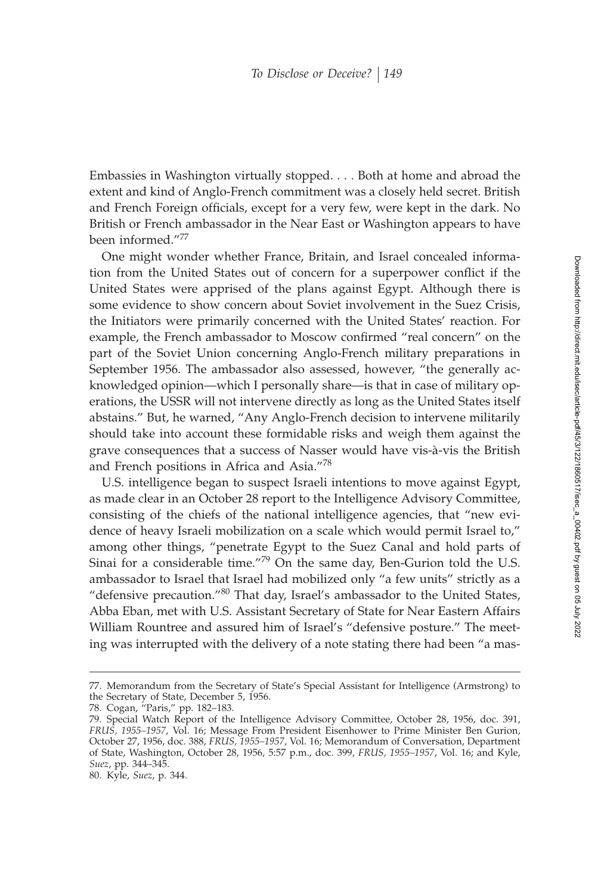Embassies in Washington virtually stopped.... Both at home and abroad the extent and kind of Anglo-French commitment was a closely held secret. British and French Foreign officials, except for a very few, were kept in the dark. No British or French ambassador in the Near East or Washington appears to have been informed."<sup>77</sup>

One might wonder whether France, Britain, and Israel concealed information from the United States out of concern for a superpower conflict if the United States were apprised of the plans against Egypt. Although there is some evidence to show concern about Soviet involvement in the Suez Crisis, the Initiators were primarily concerned with the United States' reaction. For example, the French ambassador to Moscow confirmed "real concern" on the part of the Soviet Union concerning Anglo-French military preparations in September 1956. The ambassador also assessed, however, "the generally acknowledged opinion—which I personally share—is that in case of military operations, the USSR will not intervene directly as long as the United States itself abstains." But, he warned, "Any Anglo-French decision to intervene militarily should take into account these formidable risks and weigh them against the grave consequences that a success of Nasser would have vis-à-vis the British and French positions in Africa and Asia."<sup>78</sup>

U.S. intelligence began to suspect Israeli intentions to move against Egypt, as made clear in an October 28 report to the Intelligence Advisory Committee, consisting of the chiefs of the national intelligence agencies, that "new evidence of heavy Israeli mobilization on a scale which would permit Israel to," among other things, "penetrate Egypt to the Suez Canal and hold parts of Sinai for a considerable time."<sup>79</sup> On the same day, Ben-Gurion told the U.S. ambassador to Israel that Israel had mobilized only "a few units" strictly as a "defensive precaution."<sup>80</sup> That day, Israel's ambassador to the United States, Abba Eban, met with U.S. Assistant Secretary of State for Near Eastern Affairs William Rountree and assured him of Israel's "defensive posture." The meeting was interrupted with the delivery of a note stating there had been "a mas-

<sup>77.</sup> Memorandum from the Secretary of State's Special Assistant for Intelligence (Armstrong) to the Secretary of State, December 5, 1956.

<sup>78.</sup> Cogan, "Paris," pp. 182–183.

<sup>79.</sup> Special Watch Report of the Intelligence Advisory Committee, October 28, 1956, doc. 391, *FRUS, 1955–1957*, Vol. 16; Message From President Eisenhower to Prime Minister Ben Gurion, October 27, 1956, doc. 388, *FRUS, 1955–1957*, Vol. 16; Memorandum of Conversation, Department of State, Washington, October 28, 1956, 5:57 p.m., doc. 399, *FRUS, 1955–1957*, Vol. 16; and Kyle, *Suez*, pp. 344–345.

<sup>80.</sup> Kyle, *Suez*, p. 344.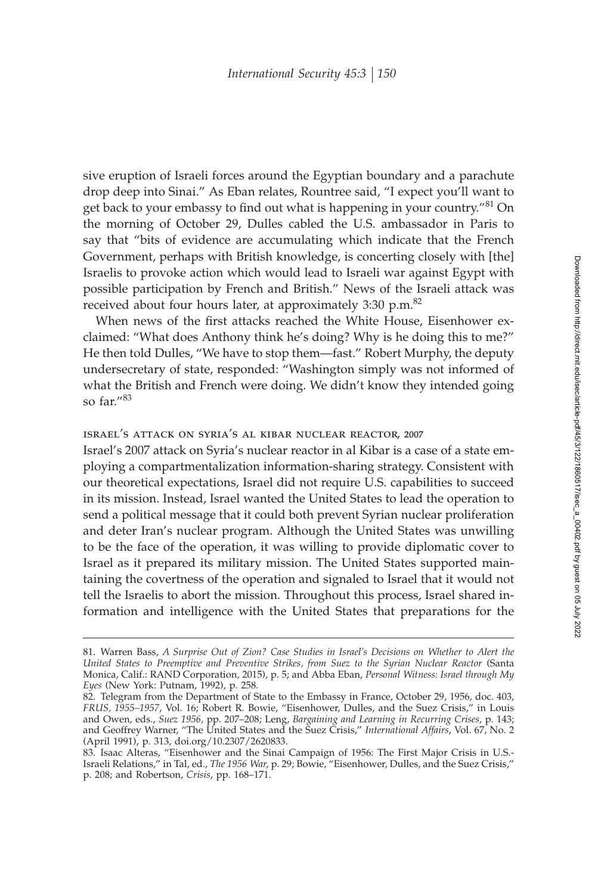sive eruption of Israeli forces around the Egyptian boundary and a parachute drop deep into Sinai." As Eban relates, Rountree said, "I expect you'll want to get back to your embassy to find out what is happening in your country."<sup>81</sup> On the morning of October 29, Dulles cabled the U.S. ambassador in Paris to say that "bits of evidence are accumulating which indicate that the French Government, perhaps with British knowledge, is concerting closely with [the] Israelis to provoke action which would lead to Israeli war against Egypt with possible participation by French and British." News of the Israeli attack was received about four hours later, at approximately  $3:30$  p.m. $^{82}$ 

When news of the first attacks reached the White House, Eisenhower exclaimed: "What does Anthony think he's doing? Why is he doing this to me?" He then told Dulles, "We have to stop them—fast." Robert Murphy, the deputy undersecretary of state, responded: "Washington simply was not informed of what the British and French were doing. We didn't know they intended going so far."<sup>83</sup>

## israel's attack on syria's al kibar nuclear reactor, 2007

Israel's 2007 attack on Syria's nuclear reactor in al Kibar is a case of a state employing a compartmentalization information-sharing strategy. Consistent with our theoretical expectations, Israel did not require U.S. capabilities to succeed in its mission. Instead, Israel wanted the United States to lead the operation to send a political message that it could both prevent Syrian nuclear proliferation and deter Iran's nuclear program. Although the United States was unwilling to be the face of the operation, it was willing to provide diplomatic cover to Israel as it prepared its military mission. The United States supported maintaining the covertness of the operation and signaled to Israel that it would not tell the Israelis to abort the mission. Throughout this process, Israel shared information and intelligence with the United States that preparations for the

<sup>81.</sup> Warren Bass, *A Surprise Out of Zion? Case Studies in Israel's Decisions on Whether to Alert the United States to Preemptive and Preventive Strikes, from Suez to the Syrian Nuclear Reactor* (Santa Monica, Calif.: RAND Corporation, 2015), p. 5; and Abba Eban, *Personal Witness: Israel through My Eyes* (New York: Putnam, 1992), p. 258.

<sup>82.</sup> Telegram from the Department of State to the Embassy in France, October 29, 1956, doc. 403, *FRUS, 1955–1957*, Vol. 16; Robert R. Bowie, "Eisenhower, Dulles, and the Suez Crisis," in Louis and Owen, eds., *Suez 1956*, pp. 207–208; Leng, *Bargaining and Learning in Recurring Crises*, p. 143; and Geoffrey Warner, "The United States and the Suez Crisis," *International Affairs*, Vol. 67, No. 2 (April 1991), p. 313, doi.org/10.2307/2620833.

<sup>83.</sup> Isaac Alteras, "Eisenhower and the Sinai Campaign of 1956: The First Major Crisis in U.S.- Israeli Relations," in Tal, ed., *The 1956 War*, p. 29; Bowie, "Eisenhower, Dulles, and the Suez Crisis," p. 208; and Robertson, *Crisis*, pp. 168–171.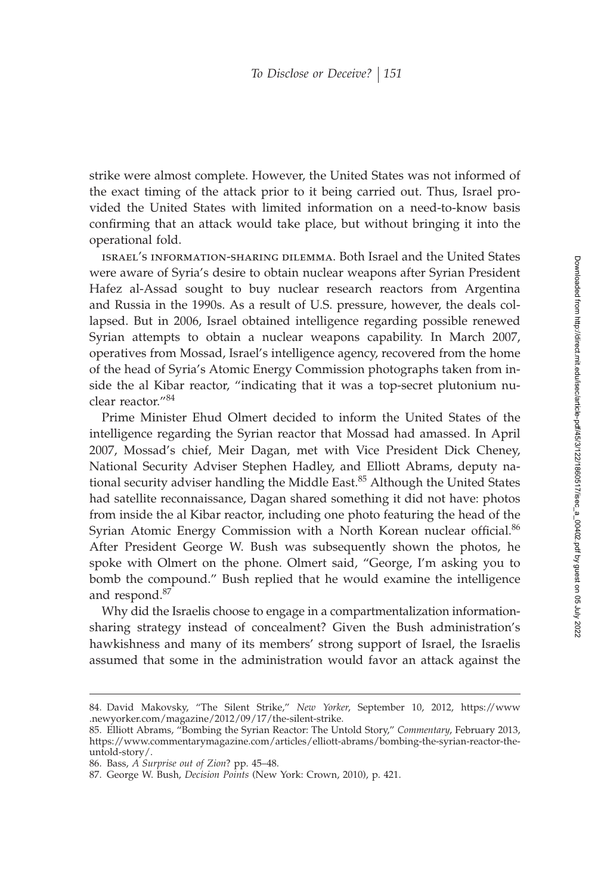strike were almost complete. However, the United States was not informed of the exact timing of the attack prior to it being carried out. Thus, Israel provided the United States with limited information on a need-to-know basis confirming that an attack would take place, but without bringing it into the operational fold.

israel's information-sharing dilemma. Both Israel and the United States were aware of Syria's desire to obtain nuclear weapons after Syrian President Hafez al-Assad sought to buy nuclear research reactors from Argentina and Russia in the 1990s. As a result of U.S. pressure, however, the deals collapsed. But in 2006, Israel obtained intelligence regarding possible renewed Syrian attempts to obtain a nuclear weapons capability. In March 2007, operatives from Mossad, Israel's intelligence agency, recovered from the home of the head of Syria's Atomic Energy Commission photographs taken from inside the al Kibar reactor, "indicating that it was a top-secret plutonium nuclear reactor."<sup>84</sup>

Prime Minister Ehud Olmert decided to inform the United States of the intelligence regarding the Syrian reactor that Mossad had amassed. In April 2007, Mossad's chief, Meir Dagan, met with Vice President Dick Cheney, National Security Adviser Stephen Hadley, and Elliott Abrams, deputy national security adviser handling the Middle East.<sup>85</sup> Although the United States had satellite reconnaissance, Dagan shared something it did not have: photos from inside the al Kibar reactor, including one photo featuring the head of the Syrian Atomic Energy Commission with a North Korean nuclear official.<sup>86</sup> After President George W. Bush was subsequently shown the photos, he spoke with Olmert on the phone. Olmert said, "George, I'm asking you to bomb the compound." Bush replied that he would examine the intelligence and respond.<sup>87</sup>

Why did the Israelis choose to engage in a compartmentalization informationsharing strategy instead of concealment? Given the Bush administration's hawkishness and many of its members' strong support of Israel, the Israelis assumed that some in the administration would favor an attack against the

<sup>84.</sup> David Makovsky, "The Silent Strike," *New Yorker*, September 10, 2012, https://www .newyorker.com/magazine/2012/09/17/the-silent-strike.

<sup>85.</sup> Elliott Abrams, "Bombing the Syrian Reactor: The Untold Story," *Commentary*, February 2013, https://www.commentarymagazine.com/articles/elliott-abrams/bombing-the-syrian-reactor-theuntold-story/.

<sup>86.</sup> Bass, *A Surprise out of Zion*? pp. 45–48.

<sup>87.</sup> George W. Bush, *Decision Points* (New York: Crown, 2010), p. 421.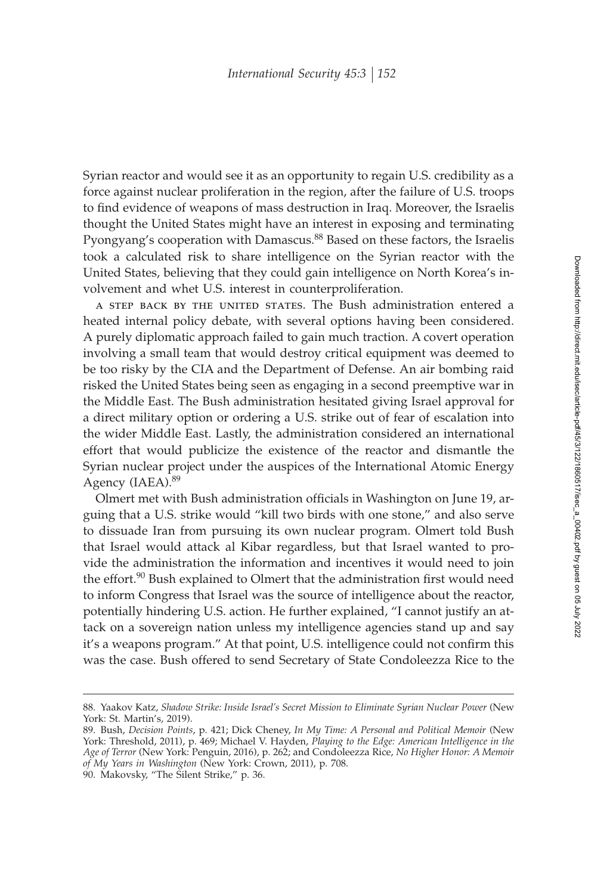Syrian reactor and would see it as an opportunity to regain U.S. credibility as a force against nuclear proliferation in the region, after the failure of U.S. troops to find evidence of weapons of mass destruction in Iraq. Moreover, the Israelis thought the United States might have an interest in exposing and terminating Pyongyang's cooperation with Damascus.<sup>88</sup> Based on these factors, the Israelis took a calculated risk to share intelligence on the Syrian reactor with the United States, believing that they could gain intelligence on North Korea's involvement and whet U.S. interest in counterproliferation.

a step back by the united states. The Bush administration entered a heated internal policy debate, with several options having been considered. A purely diplomatic approach failed to gain much traction. A covert operation involving a small team that would destroy critical equipment was deemed to be too risky by the CIA and the Department of Defense. An air bombing raid risked the United States being seen as engaging in a second preemptive war in the Middle East. The Bush administration hesitated giving Israel approval for a direct military option or ordering a U.S. strike out of fear of escalation into the wider Middle East. Lastly, the administration considered an international effort that would publicize the existence of the reactor and dismantle the Syrian nuclear project under the auspices of the International Atomic Energy Agency (IAEA).<sup>89</sup>

Olmert met with Bush administration officials in Washington on June 19, arguing that a U.S. strike would "kill two birds with one stone," and also serve to dissuade Iran from pursuing its own nuclear program. Olmert told Bush that Israel would attack al Kibar regardless, but that Israel wanted to provide the administration the information and incentives it would need to join the effort. $90$  Bush explained to Olmert that the administration first would need to inform Congress that Israel was the source of intelligence about the reactor, potentially hindering U.S. action. He further explained, "I cannot justify an attack on a sovereign nation unless my intelligence agencies stand up and say it's a weapons program." At that point, U.S. intelligence could not confirm this was the case. Bush offered to send Secretary of State Condoleezza Rice to the

<sup>88.</sup> Yaakov Katz, *Shadow Strike: Inside Israel's Secret Mission to Eliminate Syrian Nuclear Power* (New York: St. Martin's, 2019).

<sup>89.</sup> Bush, *Decision Points*, p. 421; Dick Cheney, *In My Time: A Personal and Political Memoir* (New York: Threshold, 2011), p. 469; Michael V. Hayden, *Playing to the Edge: American Intelligence in the Age of Terror* (New York: Penguin, 2016), p. 262; and Condoleezza Rice, *No Higher Honor: A Memoir of My Years in Washington* (New York: Crown, 2011), p. 708.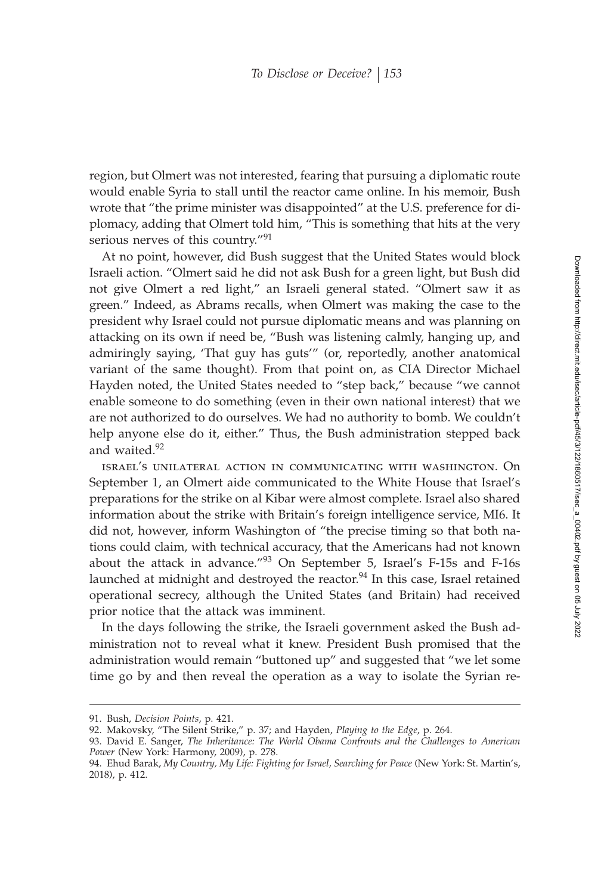region, but Olmert was not interested, fearing that pursuing a diplomatic route would enable Syria to stall until the reactor came online. In his memoir, Bush wrote that "the prime minister was disappointed" at the U.S. preference for diplomacy, adding that Olmert told him, "This is something that hits at the very serious nerves of this country."<sup>91</sup>

At no point, however, did Bush suggest that the United States would block Israeli action. "Olmert said he did not ask Bush for a green light, but Bush did not give Olmert a red light," an Israeli general stated. "Olmert saw it as green." Indeed, as Abrams recalls, when Olmert was making the case to the president why Israel could not pursue diplomatic means and was planning on attacking on its own if need be, "Bush was listening calmly, hanging up, and admiringly saying, 'That guy has guts'" (or, reportedly, another anatomical variant of the same thought). From that point on, as CIA Director Michael Hayden noted, the United States needed to "step back," because "we cannot enable someone to do something (even in their own national interest) that we are not authorized to do ourselves. We had no authority to bomb. We couldn't help anyone else do it, either." Thus, the Bush administration stepped back and waited.<sup>92</sup>

israel's unilateral action in communicating with washington. On September 1, an Olmert aide communicated to the White House that Israel's preparations for the strike on al Kibar were almost complete. Israel also shared information about the strike with Britain's foreign intelligence service, MI6. It did not, however, inform Washington of "the precise timing so that both nations could claim, with technical accuracy, that the Americans had not known about the attack in advance."<sup>93</sup> On September 5, Israel's F-15s and F-16s launched at midnight and destroyed the reactor.<sup>94</sup> In this case, Israel retained operational secrecy, although the United States (and Britain) had received prior notice that the attack was imminent.

In the days following the strike, the Israeli government asked the Bush administration not to reveal what it knew. President Bush promised that the administration would remain "buttoned up" and suggested that "we let some time go by and then reveal the operation as a way to isolate the Syrian re-

<sup>91.</sup> Bush, *Decision Points*, p. 421.

<sup>92.</sup> Makovsky, "The Silent Strike," p. 37; and Hayden, *Playing to the Edge*, p. 264.

<sup>93.</sup> David E. Sanger, *The Inheritance: The World Obama Confronts and the Challenges to American Power* (New York: Harmony, 2009), p. 278.

<sup>94.</sup> Ehud Barak, *My Country, My Life: Fighting for Israel, Searching for Peace* (New York: St. Martin's, 2018), p. 412.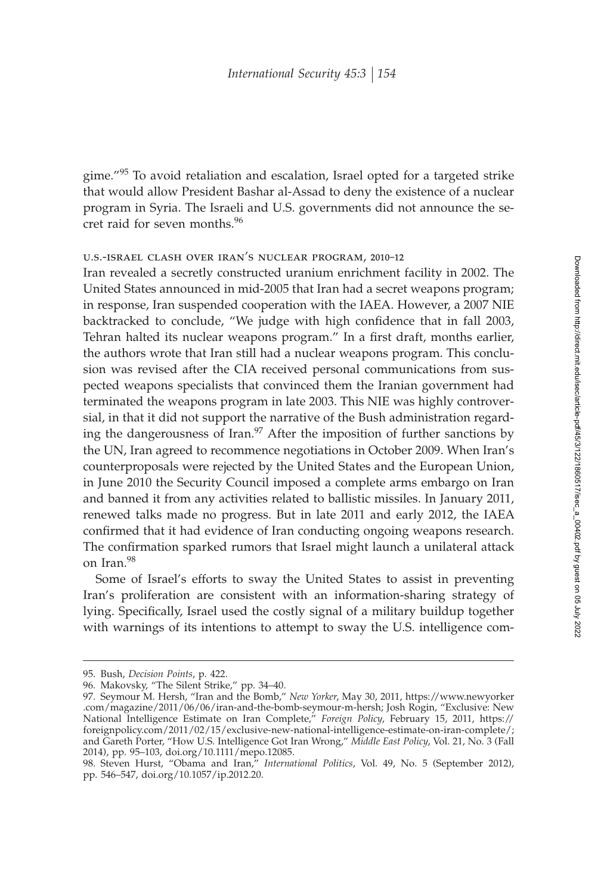gime."<sup>95</sup> To avoid retaliation and escalation, Israel opted for a targeted strike that would allow President Bashar al-Assad to deny the existence of a nuclear program in Syria. The Israeli and U.S. governments did not announce the secret raid for seven months.<sup>96</sup>

## u.s.-israel clash over iran's nuclear program, 2010–12

Iran revealed a secretly constructed uranium enrichment facility in 2002. The United States announced in mid-2005 that Iran had a secret weapons program; in response, Iran suspended cooperation with the IAEA. However, a 2007 NIE backtracked to conclude, "We judge with high confidence that in fall 2003, Tehran halted its nuclear weapons program." In a first draft, months earlier, the authors wrote that Iran still had a nuclear weapons program. This conclusion was revised after the CIA received personal communications from suspected weapons specialists that convinced them the Iranian government had terminated the weapons program in late 2003. This NIE was highly controversial, in that it did not support the narrative of the Bush administration regarding the dangerousness of Iran. $\frac{97}{7}$  After the imposition of further sanctions by the UN, Iran agreed to recommence negotiations in October 2009. When Iran's counterproposals were rejected by the United States and the European Union, in June 2010 the Security Council imposed a complete arms embargo on Iran and banned it from any activities related to ballistic missiles. In January 2011, renewed talks made no progress. But in late 2011 and early 2012, the IAEA confirmed that it had evidence of Iran conducting ongoing weapons research. The confirmation sparked rumors that Israel might launch a unilateral attack on Iran.<sup>98</sup>

Some of Israel's efforts to sway the United States to assist in preventing Iran's proliferation are consistent with an information-sharing strategy of lying. Specifically, Israel used the costly signal of a military buildup together with warnings of its intentions to attempt to sway the U.S. intelligence com-

<sup>95.</sup> Bush, *Decision Points*, p. 422.

<sup>96.</sup> Makovsky, "The Silent Strike," pp. 34–40.

<sup>97.</sup> Seymour M. Hersh, "Iran and the Bomb," *New Yorker*, May 30, 2011, https://www.newyorker .com/magazine/2011/06/06/iran-and-the-bomb-seymour-m-hersh; Josh Rogin, "Exclusive: New National Intelligence Estimate on Iran Complete," *Foreign Policy*, February 15, 2011, https:// foreignpolicy.com/2011/02/15/exclusive-new-national-intelligence-estimate-on-iran-complete/; and Gareth Porter, "How U.S. Intelligence Got Iran Wrong," *Middle East Policy*, Vol. 21, No. 3 (Fall 2014), pp. 95–103, doi.org/10.1111/mepo.12085.

<sup>98.</sup> Steven Hurst, "Obama and Iran," *International Politics*, Vol. 49, No. 5 (September 2012), pp. 546–547, doi.org/10.1057/ip.2012.20.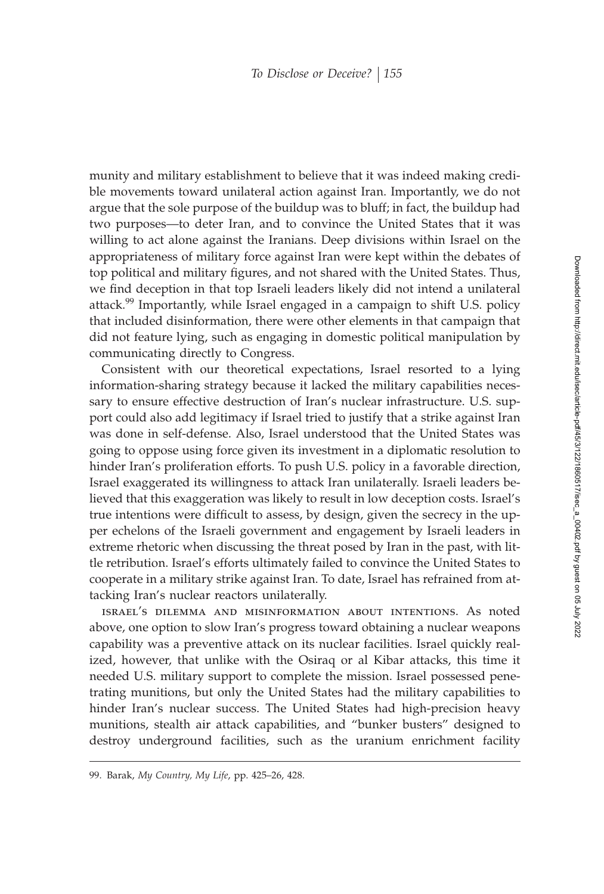munity and military establishment to believe that it was indeed making credible movements toward unilateral action against Iran. Importantly, we do not argue that the sole purpose of the buildup was to bluff; in fact, the buildup had two purposes—to deter Iran, and to convince the United States that it was willing to act alone against the Iranians. Deep divisions within Israel on the appropriateness of military force against Iran were kept within the debates of top political and military figures, and not shared with the United States. Thus, we find deception in that top Israeli leaders likely did not intend a unilateral attack.<sup>99</sup> Importantly, while Israel engaged in a campaign to shift U.S. policy that included disinformation, there were other elements in that campaign that did not feature lying, such as engaging in domestic political manipulation by communicating directly to Congress.

Consistent with our theoretical expectations, Israel resorted to a lying information-sharing strategy because it lacked the military capabilities necessary to ensure effective destruction of Iran's nuclear infrastructure. U.S. support could also add legitimacy if Israel tried to justify that a strike against Iran was done in self-defense. Also, Israel understood that the United States was going to oppose using force given its investment in a diplomatic resolution to hinder Iran's proliferation efforts. To push U.S. policy in a favorable direction, Israel exaggerated its willingness to attack Iran unilaterally. Israeli leaders believed that this exaggeration was likely to result in low deception costs. Israel's true intentions were difficult to assess, by design, given the secrecy in the upper echelons of the Israeli government and engagement by Israeli leaders in extreme rhetoric when discussing the threat posed by Iran in the past, with little retribution. Israel's efforts ultimately failed to convince the United States to cooperate in a military strike against Iran. To date, Israel has refrained from attacking Iran's nuclear reactors unilaterally.

israel's dilemma and misinformation about intentions. As noted above, one option to slow Iran's progress toward obtaining a nuclear weapons capability was a preventive attack on its nuclear facilities. Israel quickly realized, however, that unlike with the Osiraq or al Kibar attacks, this time it needed U.S. military support to complete the mission. Israel possessed penetrating munitions, but only the United States had the military capabilities to hinder Iran's nuclear success. The United States had high-precision heavy munitions, stealth air attack capabilities, and "bunker busters" designed to destroy underground facilities, such as the uranium enrichment facility

<sup>99.</sup> Barak, *My Country, My Life*, pp. 425–26, 428.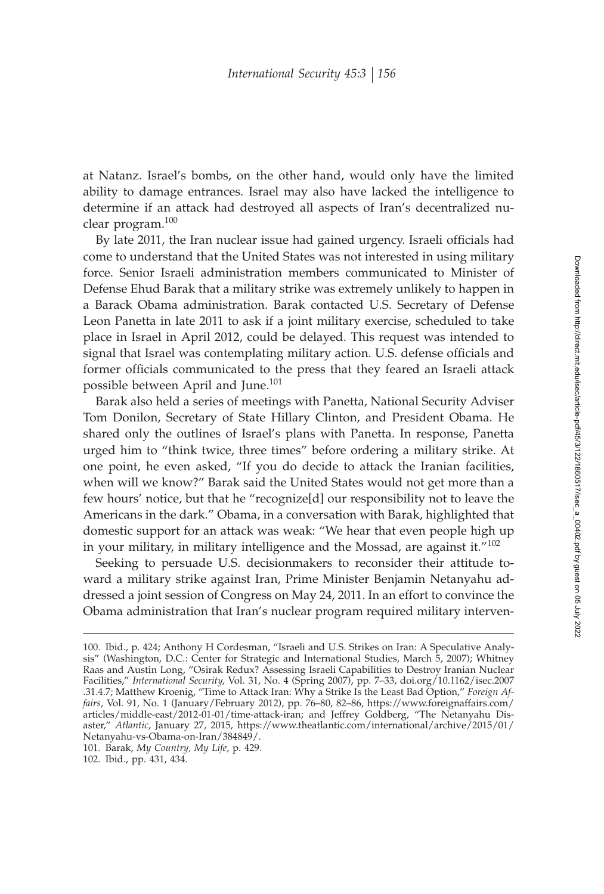at Natanz. Israel's bombs, on the other hand, would only have the limited ability to damage entrances. Israel may also have lacked the intelligence to determine if an attack had destroyed all aspects of Iran's decentralized nuclear program.<sup>100</sup>

By late 2011, the Iran nuclear issue had gained urgency. Israeli officials had come to understand that the United States was not interested in using military force. Senior Israeli administration members communicated to Minister of Defense Ehud Barak that a military strike was extremely unlikely to happen in a Barack Obama administration. Barak contacted U.S. Secretary of Defense Leon Panetta in late 2011 to ask if a joint military exercise, scheduled to take place in Israel in April 2012, could be delayed. This request was intended to signal that Israel was contemplating military action. U.S. defense officials and former officials communicated to the press that they feared an Israeli attack possible between April and June.<sup>101</sup>

Barak also held a series of meetings with Panetta, National Security Adviser Tom Donilon, Secretary of State Hillary Clinton, and President Obama. He shared only the outlines of Israel's plans with Panetta. In response, Panetta urged him to "think twice, three times" before ordering a military strike. At one point, he even asked, "If you do decide to attack the Iranian facilities, when will we know?" Barak said the United States would not get more than a few hours' notice, but that he "recognize[d] our responsibility not to leave the Americans in the dark." Obama, in a conversation with Barak, highlighted that domestic support for an attack was weak: "We hear that even people high up in your military, in military intelligence and the Mossad, are against it." $102$ 

Seeking to persuade U.S. decisionmakers to reconsider their attitude toward a military strike against Iran, Prime Minister Benjamin Netanyahu addressed a joint session of Congress on May 24, 2011. In an effort to convince the Obama administration that Iran's nuclear program required military interven-

<sup>100.</sup> Ibid., p. 424; Anthony H Cordesman, "Israeli and U.S. Strikes on Iran: A Speculative Analysis" (Washington, D.C.: Center for Strategic and International Studies, March 5, 2007); Whitney Raas and Austin Long, "Osirak Redux? Assessing Israeli Capabilities to Destroy Iranian Nuclear Facilities," *International Security*, Vol. 31, No. 4 (Spring 2007), pp. 7–33, doi.org/10.1162/isec.2007 .31.4.7; Matthew Kroenig, "Time to Attack Iran: Why a Strike Is the Least Bad Option," *Foreign Affairs*, Vol. 91, No. 1 (January/February 2012), pp. 76–80, 82–86, https://www.foreignaffairs.com/ articles/middle-east/2012-01-01/time-attack-iran; and Jeffrey Goldberg, "The Netanyahu Disaster," *Atlantic*, January 27, 2015, https://www.theatlantic.com/international/archive/2015/01/ Netanyahu-vs-Obama-on-Iran/384849/.

<sup>101.</sup> Barak, *My Country, My Life*, p. 429.

<sup>102.</sup> Ibid., pp. 431, 434.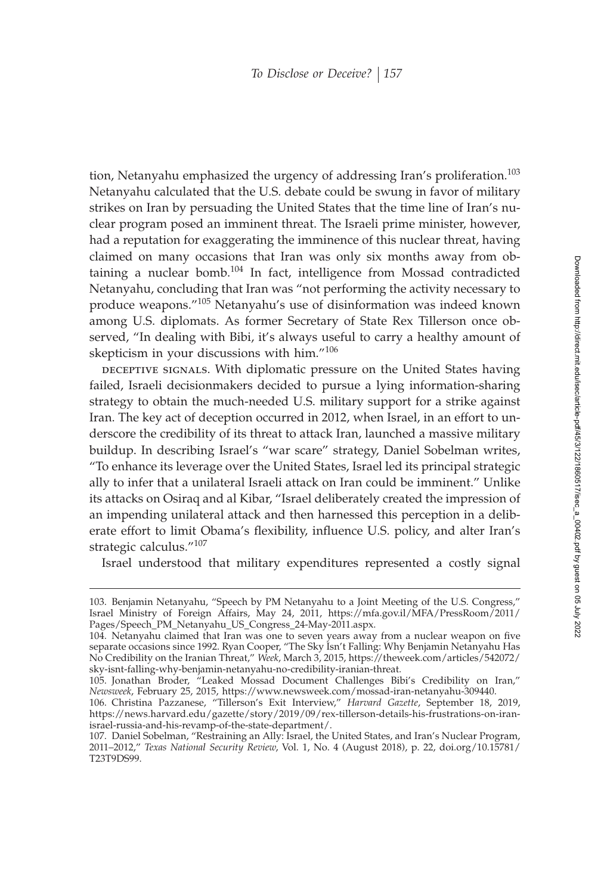tion, Netanyahu emphasized the urgency of addressing Iran's proliferation.<sup>103</sup> Netanyahu calculated that the U.S. debate could be swung in favor of military strikes on Iran by persuading the United States that the time line of Iran's nuclear program posed an imminent threat. The Israeli prime minister, however, had a reputation for exaggerating the imminence of this nuclear threat, having claimed on many occasions that Iran was only six months away from obtaining a nuclear bomb.<sup>104</sup> In fact, intelligence from Mossad contradicted Netanyahu, concluding that Iran was "not performing the activity necessary to produce weapons."<sup>105</sup> Netanyahu's use of disinformation was indeed known among U.S. diplomats. As former Secretary of State Rex Tillerson once observed, "In dealing with Bibi, it's always useful to carry a healthy amount of skepticism in your discussions with him."<sup>106</sup>

DECEPTIVE SIGNALS. With diplomatic pressure on the United States having failed, Israeli decisionmakers decided to pursue a lying information-sharing strategy to obtain the much-needed U.S. military support for a strike against Iran. The key act of deception occurred in 2012, when Israel, in an effort to underscore the credibility of its threat to attack Iran, launched a massive military buildup. In describing Israel's "war scare" strategy, Daniel Sobelman writes, "To enhance its leverage over the United States, Israel led its principal strategic ally to infer that a unilateral Israeli attack on Iran could be imminent." Unlike its attacks on Osiraq and al Kibar, "Israel deliberately created the impression of an impending unilateral attack and then harnessed this perception in a deliberate effort to limit Obama's flexibility, influence U.S. policy, and alter Iran's strategic calculus."<sup>107</sup>

Israel understood that military expenditures represented a costly signal

<sup>103.</sup> Benjamin Netanyahu, "Speech by PM Netanyahu to a Joint Meeting of the U.S. Congress," Israel Ministry of Foreign Affairs, May 24, 2011, https://mfa.gov.il/MFA/PressRoom/2011/ Pages/Speech\_PM\_Netanyahu\_US\_Congress\_24-May-2011.aspx.

<sup>104.</sup> Netanyahu claimed that Iran was one to seven years away from a nuclear weapon on five separate occasions since 1992. Ryan Cooper, "The Sky Isn't Falling: Why Benjamin Netanyahu Has No Credibility on the Iranian Threat," *Week*, March 3, 2015, https://theweek.com/articles/542072/ sky-isnt-falling-why-benjamin-netanyahu-no-credibility-iranian-threat.

<sup>105.</sup> Jonathan Broder, "Leaked Mossad Document Challenges Bibi's Credibility on Iran," *Newsweek*, February 25, 2015, https://www.newsweek.com/mossad-iran-netanyahu-309440.

<sup>106.</sup> Christina Pazzanese, "Tillerson's Exit Interview," *Harvard Gazette*, September 18, 2019, https://news.harvard.edu/gazette/story/2019/09/rex-tillerson-details-his-frustrations-on-iranisrael-russia-and-his-revamp-of-the-state-department/.

<sup>107.</sup> Daniel Sobelman, "Restraining an Ally: Israel, the United States, and Iran's Nuclear Program, 2011–2012," *Texas National Security Review*, Vol. 1, No. 4 (August 2018), p. 22, doi.org/10.15781/ T23T9DS99.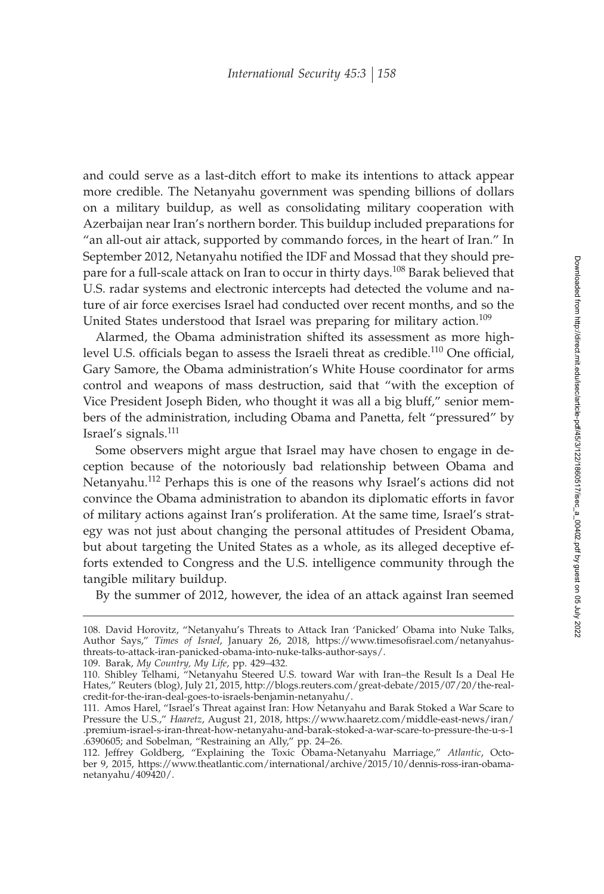and could serve as a last-ditch effort to make its intentions to attack appear more credible. The Netanyahu government was spending billions of dollars on a military buildup, as well as consolidating military cooperation with Azerbaijan near Iran's northern border. This buildup included preparations for "an all-out air attack, supported by commando forces, in the heart of Iran." In September 2012, Netanyahu notified the IDF and Mossad that they should prepare for a full-scale attack on Iran to occur in thirty days.<sup>108</sup> Barak believed that U.S. radar systems and electronic intercepts had detected the volume and nature of air force exercises Israel had conducted over recent months, and so the United States understood that Israel was preparing for military action.<sup>109</sup>

Alarmed, the Obama administration shifted its assessment as more highlevel U.S. officials began to assess the Israeli threat as credible.<sup>110</sup> One official, Gary Samore, the Obama administration's White House coordinator for arms control and weapons of mass destruction, said that "with the exception of Vice President Joseph Biden, who thought it was all a big bluff," senior members of the administration, including Obama and Panetta, felt "pressured" by Israel's signals.<sup>111</sup>

Some observers might argue that Israel may have chosen to engage in deception because of the notoriously bad relationship between Obama and Netanyahu.<sup>112</sup> Perhaps this is one of the reasons why Israel's actions did not convince the Obama administration to abandon its diplomatic efforts in favor of military actions against Iran's proliferation. At the same time, Israel's strategy was not just about changing the personal attitudes of President Obama, but about targeting the United States as a whole, as its alleged deceptive efforts extended to Congress and the U.S. intelligence community through the tangible military buildup.

By the summer of 2012, however, the idea of an attack against Iran seemed

<sup>108.</sup> David Horovitz, "Netanyahu's Threats to Attack Iran 'Panicked' Obama into Nuke Talks, Author Says," *Times of Israel*, January 26, 2018, https://www.timesofisrael.com/netanyahusthreats-to-attack-iran-panicked-obama-into-nuke-talks-author-says/.

<sup>109.</sup> Barak, *My Country, My Life*, pp. 429–432.

<sup>110.</sup> Shibley Telhami, "Netanyahu Steered U.S. toward War with Iran–the Result Is a Deal He Hates," Reuters (blog), July 21, 2015, http://blogs.reuters.com/great-debate/2015/07/20/the-realcredit-for-the-iran-deal-goes-to-israels-benjamin-netanyahu/.

<sup>111.</sup> Amos Harel, "Israel's Threat against Iran: How Netanyahu and Barak Stoked a War Scare to Pressure the U.S.," *Haaretz*, August 21, 2018, https://www.haaretz.com/middle-east-news/iran/ .premium-israel-s-iran-threat-how-netanyahu-and-barak-stoked-a-war-scare-to-pressure-the-u-s-1 .6390605; and Sobelman, "Restraining an Ally," pp. 24–26.

<sup>112.</sup> Jeffrey Goldberg, "Explaining the Toxic Obama-Netanyahu Marriage," *Atlantic*, October 9, 2015, https://www.theatlantic.com/international/archive/2015/10/dennis-ross-iran-obamanetanyahu/409420/.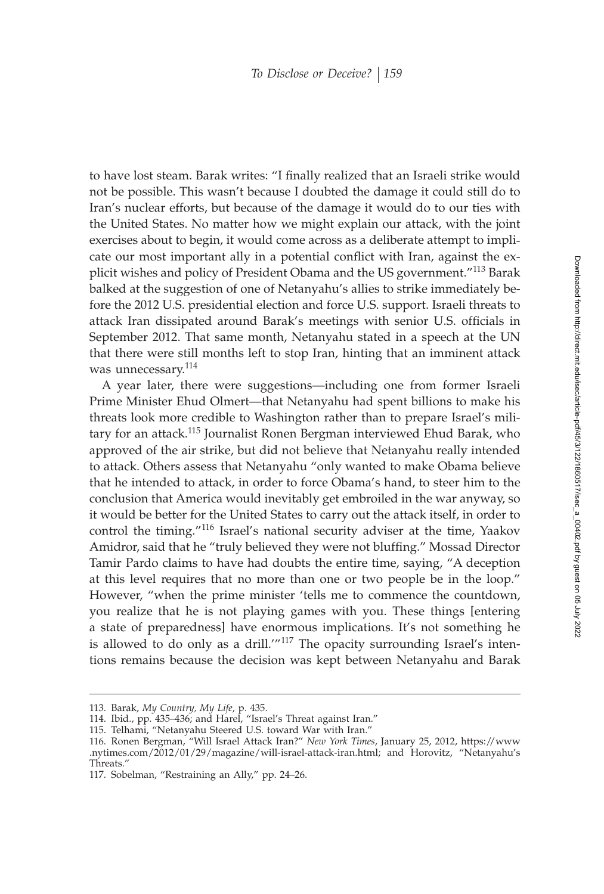to have lost steam. Barak writes: "I finally realized that an Israeli strike would not be possible. This wasn't because I doubted the damage it could still do to Iran's nuclear efforts, but because of the damage it would do to our ties with the United States. No matter how we might explain our attack, with the joint exercises about to begin, it would come across as a deliberate attempt to implicate our most important ally in a potential conflict with Iran, against the explicit wishes and policy of President Obama and the US government."<sup>113</sup> Barak balked at the suggestion of one of Netanyahu's allies to strike immediately before the 2012 U.S. presidential election and force U.S. support. Israeli threats to attack Iran dissipated around Barak's meetings with senior U.S. officials in September 2012. That same month, Netanyahu stated in a speech at the UN that there were still months left to stop Iran, hinting that an imminent attack was unnecessary.<sup>114</sup>

A year later, there were suggestions—including one from former Israeli Prime Minister Ehud Olmert—that Netanyahu had spent billions to make his threats look more credible to Washington rather than to prepare Israel's military for an attack.<sup>115</sup> Journalist Ronen Bergman interviewed Ehud Barak, who approved of the air strike, but did not believe that Netanyahu really intended to attack. Others assess that Netanyahu "only wanted to make Obama believe that he intended to attack, in order to force Obama's hand, to steer him to the conclusion that America would inevitably get embroiled in the war anyway, so it would be better for the United States to carry out the attack itself, in order to control the timing."<sup>116</sup> Israel's national security adviser at the time, Yaakov Amidror, said that he "truly believed they were not bluffing." Mossad Director Tamir Pardo claims to have had doubts the entire time, saying, "A deception at this level requires that no more than one or two people be in the loop." However, "when the prime minister 'tells me to commence the countdown, you realize that he is not playing games with you. These things [entering a state of preparedness] have enormous implications. It's not something he is allowed to do only as a drill.'"<sup>117</sup> The opacity surrounding Israel's intentions remains because the decision was kept between Netanyahu and Barak

<sup>113.</sup> Barak, *My Country, My Life*, p. 435.

<sup>114.</sup> Ibid., pp. 435–436; and Harel, "Israel's Threat against Iran."

<sup>115.</sup> Telhami, "Netanyahu Steered U.S. toward War with Iran."

<sup>116.</sup> Ronen Bergman, "Will Israel Attack Iran?" *New York Times*, January 25, 2012, https://www .nytimes.com/2012/01/29/magazine/will-israel-attack-iran.html; and Horovitz, "Netanyahu's Threats."

<sup>117.</sup> Sobelman, "Restraining an Ally," pp. 24–26.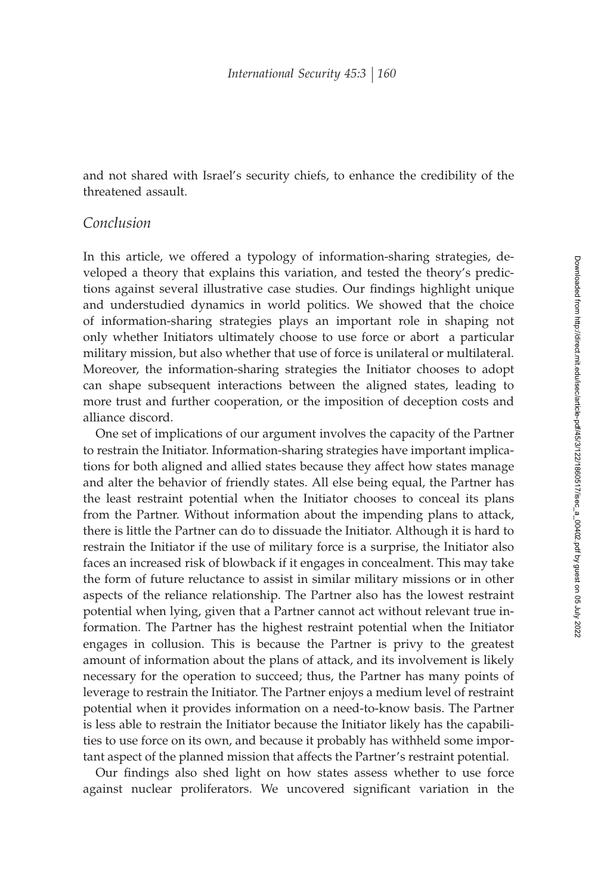and not shared with Israel's security chiefs, to enhance the credibility of the threatened assault.

# *Conclusion*

In this article, we offered a typology of information-sharing strategies, developed a theory that explains this variation, and tested the theory's predictions against several illustrative case studies. Our findings highlight unique and understudied dynamics in world politics. We showed that the choice of information-sharing strategies plays an important role in shaping not only whether Initiators ultimately choose to use force or abort a particular military mission, but also whether that use of force is unilateral or multilateral. Moreover, the information-sharing strategies the Initiator chooses to adopt can shape subsequent interactions between the aligned states, leading to more trust and further cooperation, or the imposition of deception costs and alliance discord.

One set of implications of our argument involves the capacity of the Partner to restrain the Initiator. Information-sharing strategies have important implications for both aligned and allied states because they affect how states manage and alter the behavior of friendly states. All else being equal, the Partner has the least restraint potential when the Initiator chooses to conceal its plans from the Partner. Without information about the impending plans to attack, there is little the Partner can do to dissuade the Initiator. Although it is hard to restrain the Initiator if the use of military force is a surprise, the Initiator also faces an increased risk of blowback if it engages in concealment. This may take the form of future reluctance to assist in similar military missions or in other aspects of the reliance relationship. The Partner also has the lowest restraint potential when lying, given that a Partner cannot act without relevant true information. The Partner has the highest restraint potential when the Initiator engages in collusion. This is because the Partner is privy to the greatest amount of information about the plans of attack, and its involvement is likely necessary for the operation to succeed; thus, the Partner has many points of leverage to restrain the Initiator. The Partner enjoys a medium level of restraint potential when it provides information on a need-to-know basis. The Partner is less able to restrain the Initiator because the Initiator likely has the capabilities to use force on its own, and because it probably has withheld some important aspect of the planned mission that affects the Partner's restraint potential.

Our findings also shed light on how states assess whether to use force against nuclear proliferators. We uncovered significant variation in the